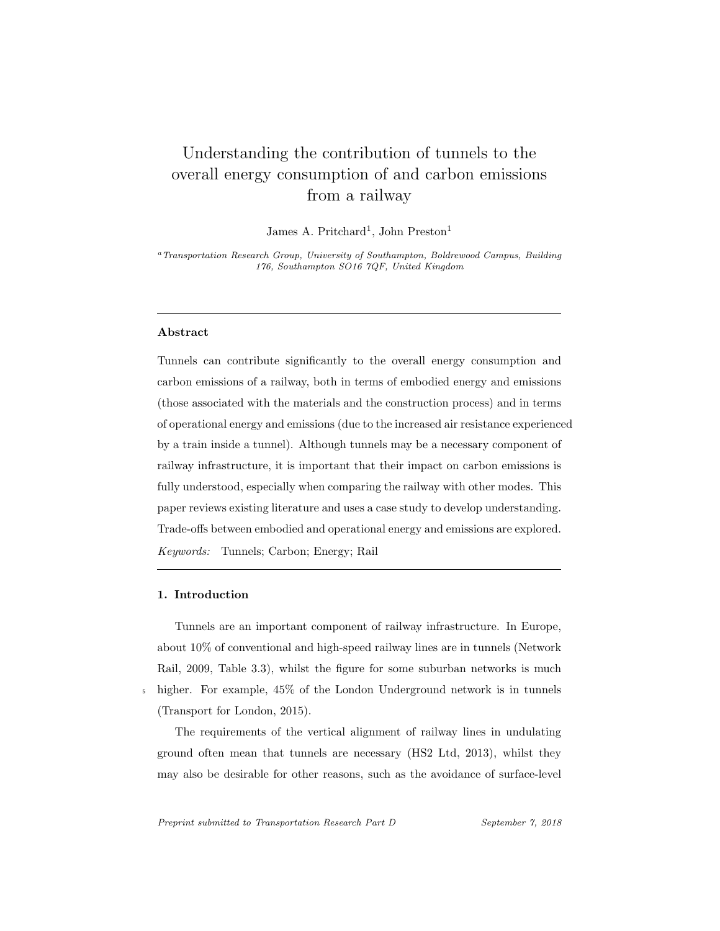# <span id="page-0-0"></span>Understanding the contribution of tunnels to the overall energy consumption of and carbon emissions from a railway

James A. Pritchard<sup>1</sup>, John Preston<sup>1</sup>

<sup>a</sup>Transportation Research Group, University of Southampton, Boldrewood Campus, Building 176, Southampton SO16 7QF, United Kingdom

#### Abstract

Tunnels can contribute significantly to the overall energy consumption and carbon emissions of a railway, both in terms of embodied energy and emissions (those associated with the materials and the construction process) and in terms of operational energy and emissions (due to the increased air resistance experienced by a train inside a tunnel). Although tunnels may be a necessary component of railway infrastructure, it is important that their impact on carbon emissions is fully understood, especially when comparing the railway with other modes. This paper reviews existing literature and uses a case study to develop understanding. Trade-offs between embodied and operational energy and emissions are explored. Keywords: Tunnels; Carbon; Energy; Rail

### 1. Introduction

Tunnels are an important component of railway infrastructure. In Europe, [a](#page-32-0)bout 10% of conventional and high-speed railway lines are in tunnels [\(Network](#page-32-0) [Rail, 2009,](#page-32-0) Table 3.3), whilst the figure for some suburban networks is much <sup>5</sup> higher. For example, 45% of the London Underground network is in tunnels [\(Transport for London, 2015\)](#page-33-0).

The requirements of the vertical alignment of railway lines in undulating ground often mean that tunnels are necessary [\(HS2 Ltd, 2013\)](#page-32-1), whilst they may also be desirable for other reasons, such as the avoidance of surface-level

Preprint submitted to Transportation Research Part D September 7, 2018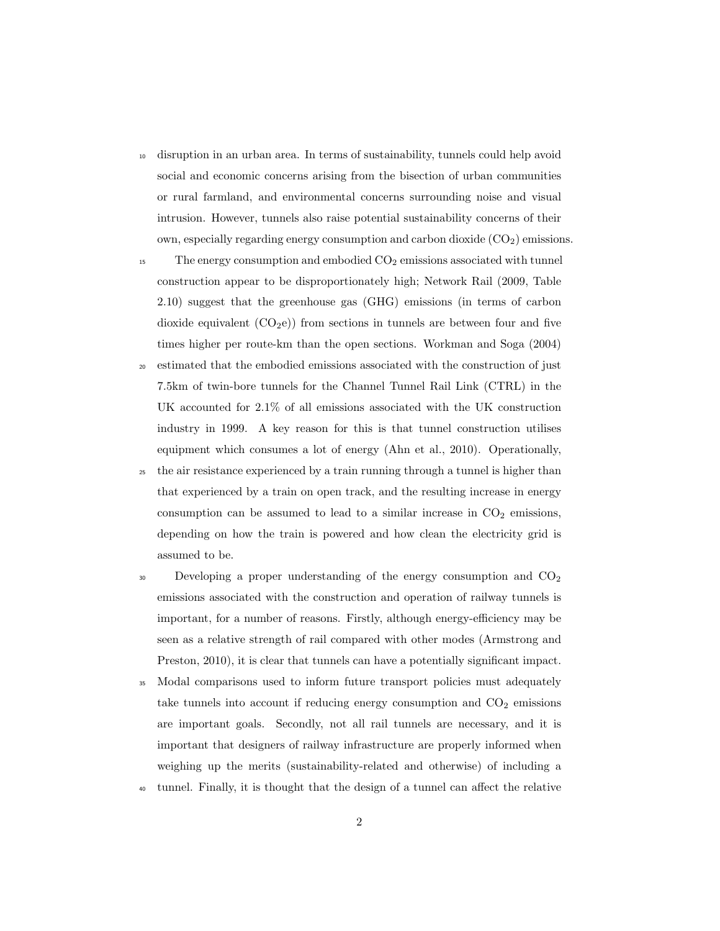- <sup>10</sup> disruption in an urban area. In terms of sustainability, tunnels could help avoid social and economic concerns arising from the bisection of urban communities or rural farmland, and environmental concerns surrounding noise and visual intrusion. However, tunnels also raise potential sustainability concerns of their own, especially regarding energy consumption and carbon dioxide  $(CO<sub>2</sub>)$  emissions.
- $15$  The energy consumption and embodied  $CO<sub>2</sub>$  emissions associated with tunnel construction appear to be disproportionately high; [Network Rail](#page-32-0) [\(2009,](#page-32-0) Table [2](#page-0-0).10) suggest that the [greenhouse gas \(GHG\)](#page-0-0) emissions (in terms of [carbon](#page-0-0) dioxide equivalent  $(CO<sub>2</sub>e)$  from sections in tunnels are between four and five times higher per route-km than the open sections. [Workman and Soga](#page-34-0) [\(2004\)](#page-34-0)
- <sup>20</sup> estimated that the embodied emissions associated with the construction of just 7.5km of twin-bore tunnels for the [Channel Tunnel Rail Link \(CTRL\)](#page-0-0) in the UK accounted for 2.1% of all emissions associated with the UK construction industry in 1999. A key reason for this is that tunnel construction utilises equipment which consumes a lot of energy [\(Ahn et al., 2010\)](#page-30-0). Operationally,
- <sup>25</sup> the air resistance experienced by a train running through a tunnel is higher than that experienced by a train on open track, and the resulting increase in energy consumption can be assumed to lead to a similar increase in  $CO<sub>2</sub>$  emissions, depending on how the train is powered and how clean the electricity grid is assumed to be.
- <sup>30</sup> Developing a proper understanding of the energy consumption and [CO](#page-0-0)<sub>2</sub> emissions associated with the construction and operation of railway tunnels is important, for a number of reasons. Firstly, although energy-efficiency may be [s](#page-30-1)een as a relative strength of rail compared with other modes [\(Armstrong and](#page-30-1) [Preston, 2010\)](#page-30-1), it is clear that tunnels can have a potentially significant impact.
- <sup>35</sup> Modal comparisons used to inform future transport policies must adequately take tunnels into account if reducing energy consumption and  $CO<sub>2</sub>$  emissions are important goals. Secondly, not all rail tunnels are necessary, and it is important that designers of railway infrastructure are properly informed when weighing up the merits (sustainability-related and otherwise) of including a
- tunnel. Finally, it is thought that the design of a tunnel can affect the relative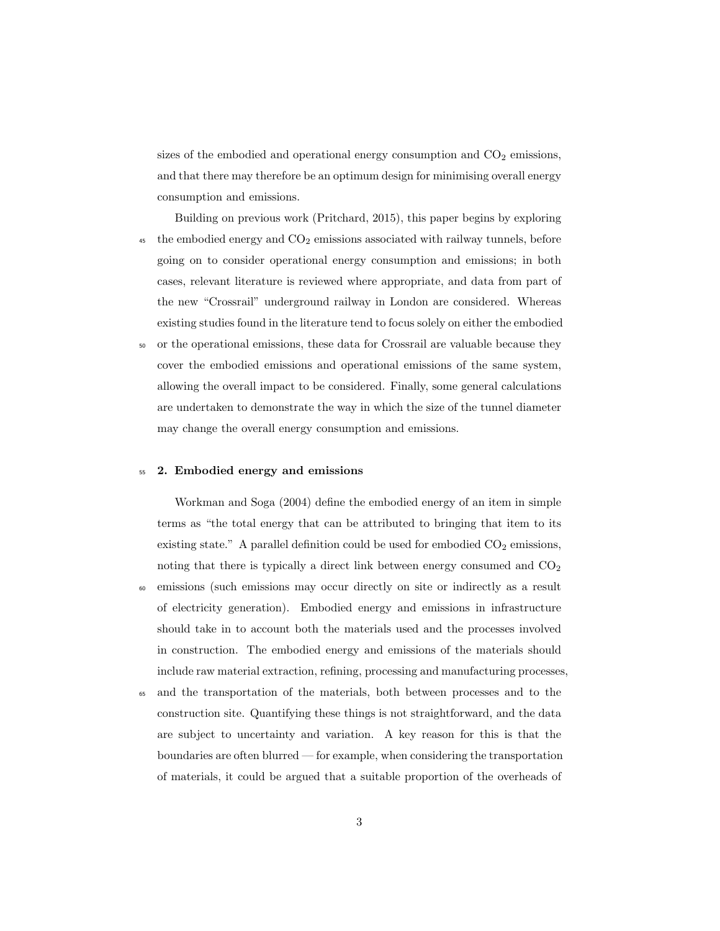sizes of the embodied and operational energy consumption and  $CO<sub>2</sub>$  emissions, and that there may therefore be an optimum design for minimising overall energy consumption and emissions.

- Building on previous work [\(Pritchard, 2015\)](#page-32-2), this paper begins by exploring  $45$  the embodied energy and  $CO<sub>2</sub>$  emissions associated with railway tunnels, before going on to consider operational energy consumption and emissions; in both cases, relevant literature is reviewed where appropriate, and data from part of the new "Crossrail" underground railway in London are considered. Whereas existing studies found in the literature tend to focus solely on either the embodied
- <sup>50</sup> or the operational emissions, these data for Crossrail are valuable because they cover the embodied emissions and operational emissions of the same system, allowing the overall impact to be considered. Finally, some general calculations are undertaken to demonstrate the way in which the size of the tunnel diameter may change the overall energy consumption and emissions.

#### <span id="page-2-0"></span><sup>55</sup> 2. Embodied energy and emissions

[Workman and Soga](#page-34-0) [\(2004\)](#page-34-0) define the embodied energy of an item in simple terms as "the total energy that can be attributed to bringing that item to its existing state." A parallel definition could be used for embodied  $CO<sub>2</sub>$  emissions, noting that there is typically a direct link between energy consumed and  $CO<sub>2</sub>$ <sup>60</sup> emissions (such emissions may occur directly on site or indirectly as a result of electricity generation). Embodied energy and emissions in infrastructure should take in to account both the materials used and the processes involved in construction. The embodied energy and emissions of the materials should include raw material extraction, refining, processing and manufacturing processes,

<sup>65</sup> and the transportation of the materials, both between processes and to the construction site. Quantifying these things is not straightforward, and the data are subject to uncertainty and variation. A key reason for this is that the boundaries are often blurred — for example, when considering the transportation of materials, it could be argued that a suitable proportion of the overheads of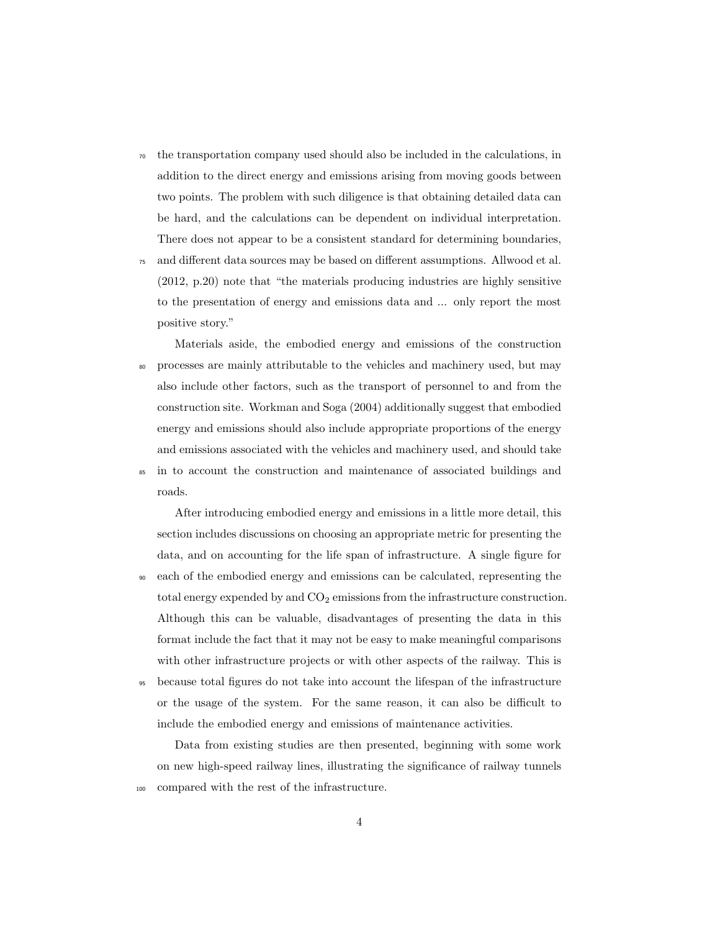- <sup>70</sup> the transportation company used should also be included in the calculations, in addition to the direct energy and emissions arising from moving goods between two points. The problem with such diligence is that obtaining detailed data can be hard, and the calculations can be dependent on individual interpretation. There does not appear to be a consistent standard for determining boundaries,
- <sup>75</sup> and different data sources may be based on different assumptions. [Allwood et al.](#page-30-2) [\(2012,](#page-30-2) p.20) note that "the materials producing industries are highly sensitive to the presentation of energy and emissions data and ... only report the most positive story."
- Materials aside, the embodied energy and emissions of the construction <sup>80</sup> processes are mainly attributable to the vehicles and machinery used, but may also include other factors, such as the transport of personnel to and from the construction site. [Workman and Soga](#page-34-0) [\(2004\)](#page-34-0) additionally suggest that embodied energy and emissions should also include appropriate proportions of the energy and emissions associated with the vehicles and machinery used, and should take
- <sup>85</sup> in to account the construction and maintenance of associated buildings and roads.

After introducing embodied energy and emissions in a little more detail, this section includes discussions on choosing an appropriate metric for presenting the data, and on accounting for the life span of infrastructure. A single figure for

- <sup>90</sup> each of the embodied energy and emissions can be calculated, representing the total energy expended by and  $CO<sub>2</sub>$  emissions from the infrastructure construction. Although this can be valuable, disadvantages of presenting the data in this format include the fact that it may not be easy to make meaningful comparisons with other infrastructure projects or with other aspects of the railway. This is
- <sup>95</sup> because total figures do not take into account the lifespan of the infrastructure or the usage of the system. For the same reason, it can also be difficult to include the embodied energy and emissions of maintenance activities.

Data from existing studies are then presented, beginning with some work on new high-speed railway lines, illustrating the significance of railway tunnels <sup>100</sup> compared with the rest of the infrastructure.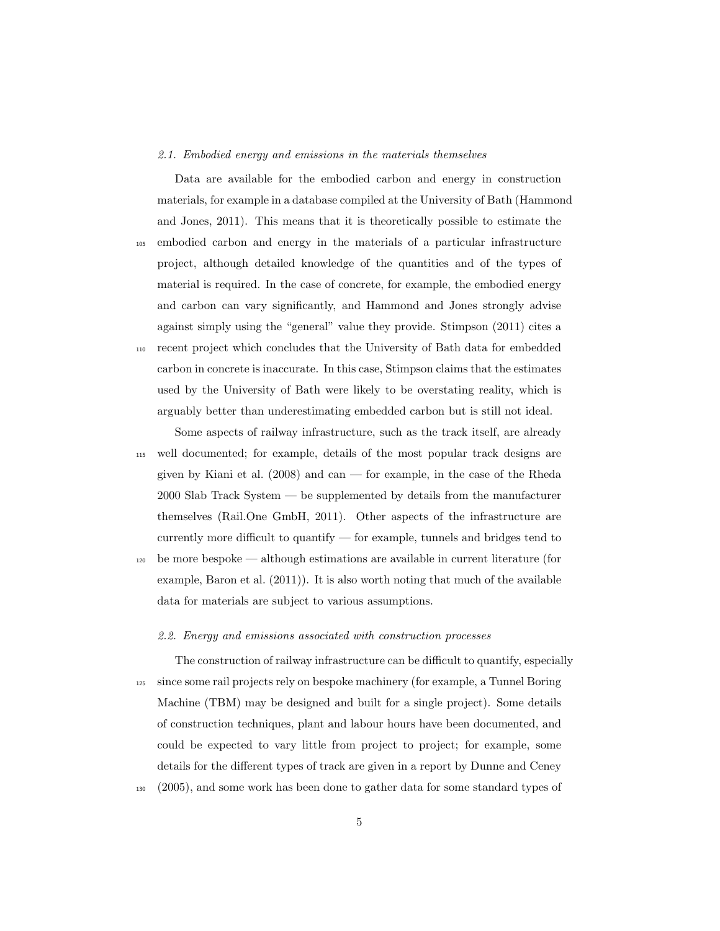#### <span id="page-4-0"></span>2.1. Embodied energy and emissions in the materials themselves

Data are available for the embodied carbon and energy in construction [m](#page-31-0)aterials, for example in a database compiled at the University of Bath [\(Hammon](#page-31-0)d [and Jones, 2011\)](#page-31-0). This means that it is theoretically possible to estimate the <sup>105</sup> embodied carbon and energy in the materials of a particular infrastructure project, although detailed knowledge of the quantities and of the types of material is required. In the case of concrete, for example, the embodied energy and carbon can vary significantly, and [Hammond and Jones](#page-31-0) strongly advise against simply using the "general" value they provide. [Stimpson](#page-33-1) [\(2011\)](#page-33-1) cites a <sup>110</sup> recent project which concludes that the University of Bath data for embedded carbon in concrete is inaccurate. In this case, [Stimpson](#page-33-1) claims that the estimates used by the University of Bath were likely to be overstating reality, which is arguably better than underestimating embedded carbon but is still not ideal.

Some aspects of railway infrastructure, such as the track itself, are already <sup>115</sup> well documented; for example, details of the most popular track designs are given by [Kiani et al.](#page-32-3)  $(2008)$  and can — for example, in the case of the Rheda 2000 Slab Track System — be supplemented by details from the manufacturer themselves [\(Rail.One GmbH, 2011\)](#page-33-2). Other aspects of the infrastructure are currently more difficult to quantify — for example, tunnels and bridges tend to <sup>120</sup> be more bespoke — although estimations are available in current literature (for

example, [Baron et al.](#page-30-3) [\(2011\)](#page-30-3)). It is also worth noting that much of the available data for materials are subject to various assumptions.

## 2.2. Energy and emissions associated with construction processes

The construction of railway infrastructure can be difficult to quantify, especially <sup>125</sup> [s](#page-0-0)ince some rail projects rely on bespoke machinery (for example, a [Tunnel Boring](#page-0-0) [Machine \(TBM\)](#page-0-0) may be designed and built for a single project). Some details of construction techniques, plant and labour hours have been documented, and could be expected to vary little from project to project; for example, some details for the different types of track are given in a report by [Dunne and Ceney](#page-31-1) <sup>130</sup> [\(2005\)](#page-31-1), and some work has been done to gather data for some standard types of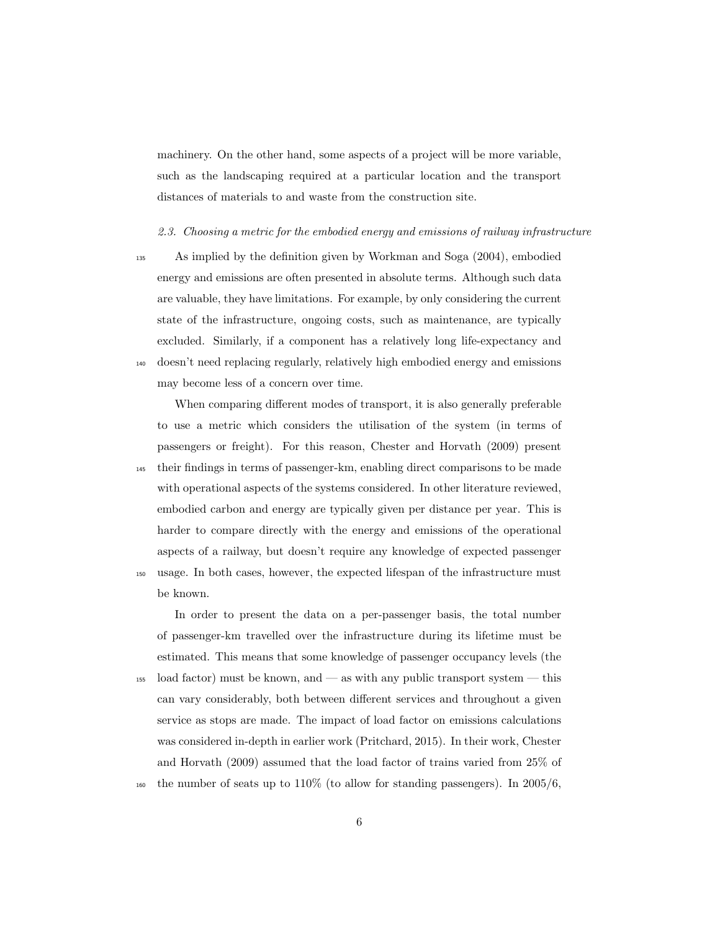machinery. On the other hand, some aspects of a project will be more variable, such as the landscaping required at a particular location and the transport distances of materials to and waste from the construction site.

#### 2.3. Choosing a metric for the embodied energy and emissions of railway infrastructure

<sup>135</sup> As implied by the definition given by [Workman and Soga](#page-34-0) [\(2004\)](#page-34-0), embodied energy and emissions are often presented in absolute terms. Although such data are valuable, they have limitations. For example, by only considering the current state of the infrastructure, ongoing costs, such as maintenance, are typically excluded. Similarly, if a component has a relatively long life-expectancy and <sup>140</sup> doesn't need replacing regularly, relatively high embodied energy and emissions may become less of a concern over time.

When comparing different modes of transport, it is also generally preferable to use a metric which considers the utilisation of the system (in terms of passengers or freight). For this reason, [Chester and Horvath](#page-31-2) [\(2009\)](#page-31-2) present <sup>145</sup> their findings in terms of passenger-km, enabling direct comparisons to be made with operational aspects of the systems considered. In other literature reviewed, embodied carbon and energy are typically given per distance per year. This is harder to compare directly with the energy and emissions of the operational aspects of a railway, but doesn't require any knowledge of expected passenger <sup>150</sup> usage. In both cases, however, the expected lifespan of the infrastructure must

be known.

In order to present the data on a per-passenger basis, the total number of passenger-km travelled over the infrastructure during its lifetime must be estimated. This means that some knowledge of passenger occupancy levels (the <sup>155</sup> load factor) must be known, and — as with any public transport system — this can vary considerably, both between different services and throughout a given service as stops are made. The impact of load factor on emissions calculations [w](#page-31-2)as considered in-depth in earlier work [\(Pritchard, 2015\)](#page-32-2). In their work, [Chester](#page-31-2) [and Horvath](#page-31-2) [\(2009\)](#page-31-2) assumed that the load factor of trains varied from 25% of

 $_{160}$  the number of seats up to  $110\%$  (to allow for standing passengers). In 2005/6,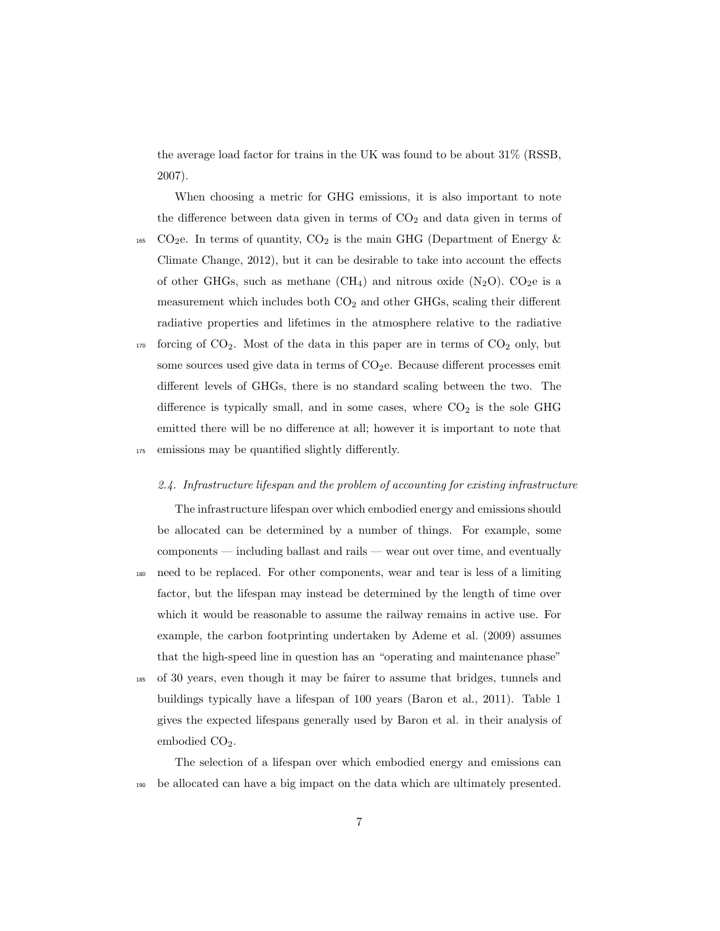the average load factor for trains in the UK was found to be about 31% [\(RSSB,](#page-33-3) [2007\)](#page-33-3).

When choosing a metric for [GHG](#page-0-0) emissions, it is also important to note the difference between data given in terms of  $CO<sub>2</sub>$  and data given in terms of  $165$  [CO](#page-0-0)<sub>2</sub>e. In terms of quantity, [CO](#page-0-0)<sub>2</sub> is the main [GHG](#page-0-0) [\(Department of Energy &](#page-31-3) [Climate Change, 2012\)](#page-31-3), but it can be desirable to take into account the effects of other [GHGs,](#page-0-0) such as methane  $(CH_4)$  and nitrous oxide  $(N_2O)$ .  $CO_2e$  is a measurement which includes both  $CO<sub>2</sub>$  and other [GHGs,](#page-0-0) scaling their different radiative properties and lifetimes in the atmosphere relative to the radiative  $170$  forcing of [CO](#page-0-0)<sub>2</sub>. Most of the data in this paper are in terms of CO<sub>2</sub> only, but some sources used give data in terms of  $CO<sub>2</sub>e$ . Because different processes emit different levels of [GHGs,](#page-0-0) there is no standard scaling between the two. The difference is typically small, and in some cases, where  $CO<sub>2</sub>$  is the sole [GHG](#page-0-0) emitted there will be no difference at all; however it is important to note that <sup>175</sup> emissions may be quantified slightly differently.

#### <span id="page-6-0"></span>2.4. Infrastructure lifespan and the problem of accounting for existing infrastructure

The infrastructure lifespan over which embodied energy and emissions should be allocated can be determined by a number of things. For example, some components — including ballast and rails — wear out over time, and eventually

- <sup>180</sup> need to be replaced. For other components, wear and tear is less of a limiting factor, but the lifespan may instead be determined by the length of time over which it would be reasonable to assume the railway remains in active use. For example, the carbon footprinting undertaken by [Ademe et al.](#page-30-4) [\(2009\)](#page-30-4) assumes that the high-speed line in question has an "operating and maintenance phase"
- <sup>185</sup> of 30 years, even though it may be fairer to assume that bridges, tunnels and buildings typically have a lifespan of 100 years [\(Baron et al., 2011\)](#page-30-3). Table [1](#page-7-0) gives the expected lifespans generally used by [Baron et al.](#page-30-3) in their analysis of embodied [CO](#page-0-0)2.

The selection of a lifespan over which embodied energy and emissions can <sup>190</sup> be allocated can have a big impact on the data which are ultimately presented.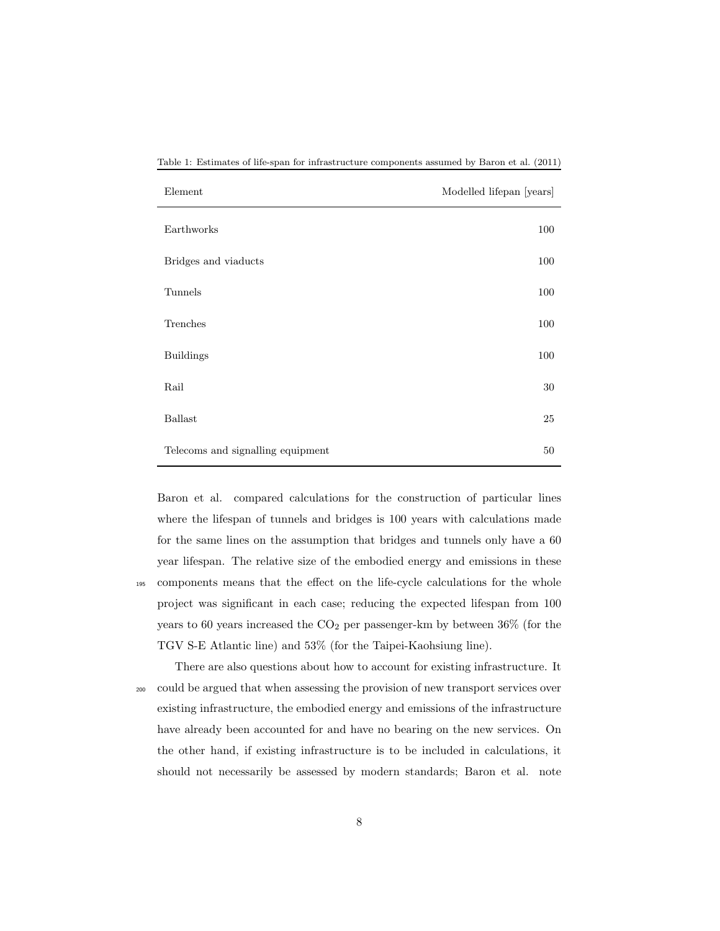| Element                           | Modelled lifepan [years] |
|-----------------------------------|--------------------------|
| Earthworks                        | 100                      |
| Bridges and viaducts              | 100                      |
| Tunnels                           | 100                      |
| Trenches                          | 100                      |
| <b>Buildings</b>                  | 100                      |
| Rail                              | 30                       |
| <b>Ballast</b>                    | 25                       |
| Telecoms and signalling equipment | 50                       |

<span id="page-7-0"></span>Table 1: Estimates of life-span for infrastructure components assumed by [Baron et al.](#page-30-3) [\(2011\)](#page-30-3)

[Baron et al.](#page-30-3) compared calculations for the construction of particular lines where the lifespan of tunnels and bridges is 100 years with calculations made for the same lines on the assumption that bridges and tunnels only have a 60 year lifespan. The relative size of the embodied energy and emissions in these <sup>195</sup> components means that the effect on the life-cycle calculations for the whole project was significant in each case; reducing the expected lifespan from 100 years to 60 years increased the  $CO<sub>2</sub>$  per passenger-km by between 36% (for the TGV S-E Atlantic line) and 53% (for the Taipei-Kaohsiung line).

There are also questions about how to account for existing infrastructure. It <sup>200</sup> could be argued that when assessing the provision of new transport services over existing infrastructure, the embodied energy and emissions of the infrastructure have already been accounted for and have no bearing on the new services. On the other hand, if existing infrastructure is to be included in calculations, it should not necessarily be assessed by modern standards; [Baron et al.](#page-30-3) note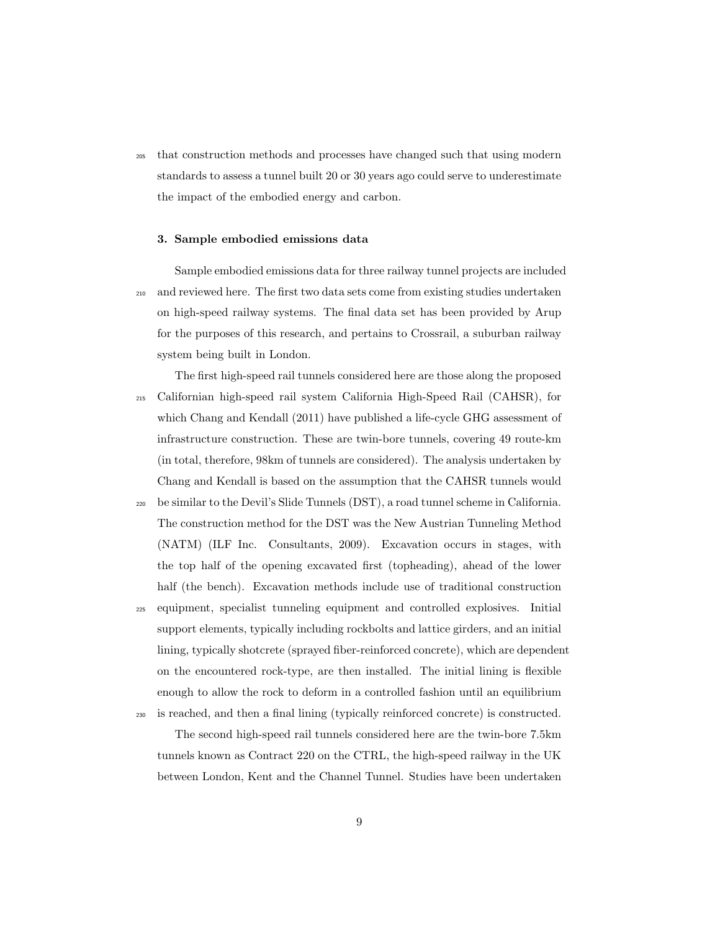<sup>205</sup> that construction methods and processes have changed such that using modern standards to assess a tunnel built 20 or 30 years ago could serve to underestimate the impact of the embodied energy and carbon.

### 3. Sample embodied emissions data

Sample embodied emissions data for three railway tunnel projects are included <sup>210</sup> and reviewed here. The first two data sets come from existing studies undertaken on high-speed railway systems. The final data set has been provided by Arup for the purposes of this research, and pertains to Crossrail, a suburban railway system being built in London.

- The first high-speed rail tunnels considered here are those along the proposed <sup>215</sup> Californian high-speed rail system [California High-Speed Rail \(CAHSR\),](#page-0-0) for which [Chang and Kendall](#page-30-5) [\(2011\)](#page-30-5) have published a life-cycle [GHG](#page-0-0) assessment of infrastructure construction. These are twin-bore tunnels, covering 49 route-km (in total, therefore, 98km of tunnels are considered). The analysis undertaken by [Chang and Kendall](#page-30-5) is based on the assumption that the [CAHSR](#page-0-0) tunnels would <sup>220</sup> be similar to the [Devil's Slide Tunnels \(DST\),](#page-0-0) a road tunnel scheme in California.
- [T](#page-0-0)he construction method for the [DST](#page-0-0) was the [New Austrian Tunneling Method](#page-0-0) [\(NATM\)](#page-0-0) [\(ILF Inc. Consultants, 2009\)](#page-32-4). Excavation occurs in stages, with the top half of the opening excavated first (topheading), ahead of the lower half (the bench). Excavation methods include use of traditional construction
- <sup>225</sup> equipment, specialist tunneling equipment and controlled explosives. Initial support elements, typically including rockbolts and lattice girders, and an initial lining, typically shotcrete (sprayed fiber-reinforced concrete), which are dependent on the encountered rock-type, are then installed. The initial lining is flexible enough to allow the rock to deform in a controlled fashion until an equilibrium <sup>230</sup> is reached, and then a final lining (typically reinforced concrete) is constructed.

The second high-speed rail tunnels considered here are the twin-bore 7.5km tunnels known as Contract 220 on the [CTRL,](#page-0-0) the high-speed railway in the UK between London, Kent and the Channel Tunnel. Studies have been undertaken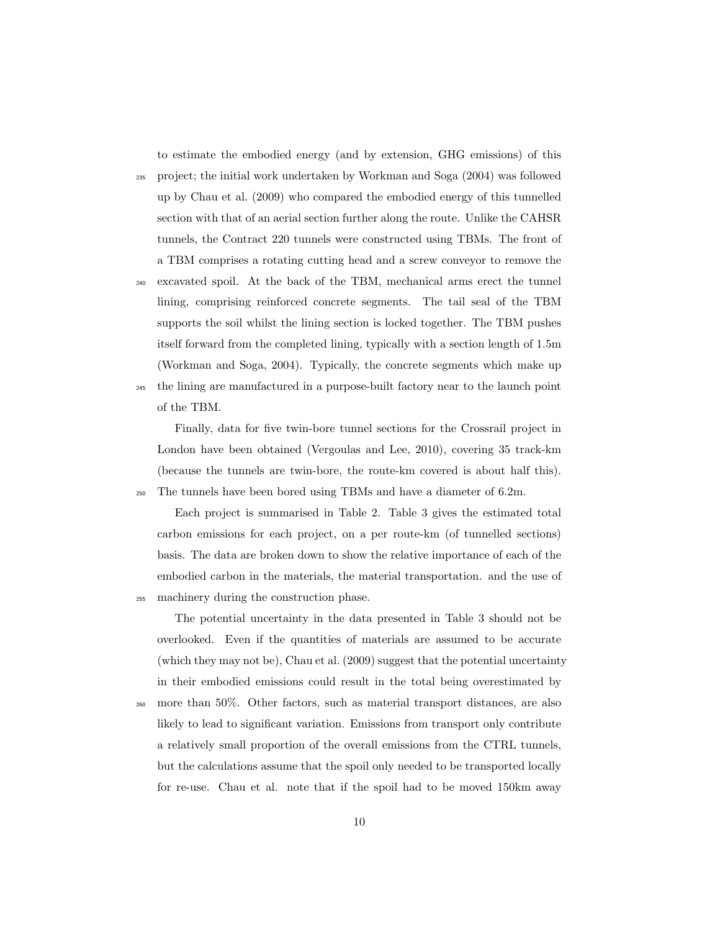to estimate the embodied energy (and by extension, [GHG](#page-0-0) emissions) of this

<sup>235</sup> project; the initial work undertaken by [Workman and Soga](#page-34-0) [\(2004\)](#page-34-0) was followed up by [Chau et al.](#page-31-4) [\(2009\)](#page-31-4) who compared the embodied energy of this tunnelled section with that of an aerial section further along the route. Unlike the [CAHSR](#page-0-0) tunnels, the Contract 220 tunnels were constructed using [TBMs.](#page-0-0) The front of a [TBM](#page-0-0) comprises a rotating cutting head and a screw conveyor to remove the

<sup>240</sup> excavated spoil. At the back of the [TBM,](#page-0-0) mechanical arms erect the tunnel lining, comprising reinforced concrete segments. The tail seal of the [TBM](#page-0-0) supports the soil whilst the lining section is locked together. The [TBM](#page-0-0) pushes itself forward from the completed lining, typically with a section length of 1.5m [\(Workman and Soga, 2004\)](#page-34-0). Typically, the concrete segments which make up

<sup>245</sup> the lining are manufactured in a purpose-built factory near to the launch point of the [TBM.](#page-0-0)

Finally, data for five twin-bore tunnel sections for the Crossrail project in London have been obtained [\(Vergoulas and Lee, 2010\)](#page-34-1), covering 35 track-km (because the tunnels are twin-bore, the route-km covered is about half this). <sup>250</sup> The tunnels have been bored using [TBMs](#page-0-0) and have a diameter of 6.2m.

Each project is summarised in Table [2.](#page-10-0) Table [3](#page-11-0) gives the estimated total carbon emissions for each project, on a per route-km (of tunnelled sections) basis. The data are broken down to show the relative importance of each of the embodied carbon in the materials, the material transportation. and the use of <sup>255</sup> machinery during the construction phase.

The potential uncertainty in the data presented in Table [3](#page-11-0) should not be overlooked. Even if the quantities of materials are assumed to be accurate (which they may not be), [Chau et al.](#page-31-4) [\(2009\)](#page-31-4) suggest that the potential uncertainty in their embodied emissions could result in the total being overestimated by <sup>260</sup> more than 50%. Other factors, such as material transport distances, are also likely to lead to significant variation. Emissions from transport only contribute

but the calculations assume that the spoil only needed to be transported locally for re-use. [Chau et al.](#page-31-4) note that if the spoil had to be moved 150km away

a relatively small proportion of the overall emissions from the [CTRL](#page-0-0) tunnels,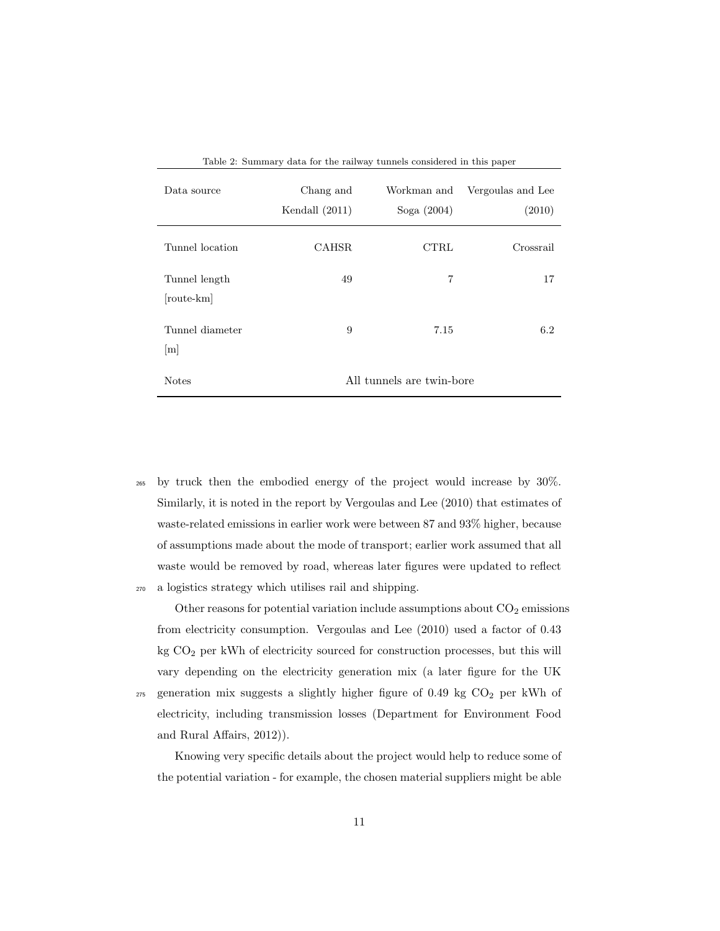<span id="page-10-0"></span>

|                       | Table 2: Summary data for the railway tunnels considered in this paper |                              |                             |  |
|-----------------------|------------------------------------------------------------------------|------------------------------|-----------------------------|--|
| Data source           | Chang and<br>Kendall $(2011)$                                          | Workman and<br>Soga $(2004)$ | Vergoulas and Lee<br>(2010) |  |
| Tunnel location       | <b>CAHSR</b>                                                           | <b>CTRL</b>                  | Crossrail                   |  |
| Tunnel length         | 49                                                                     | 7                            | 17                          |  |
| [route-km]            |                                                                        |                              |                             |  |
| Tunnel diameter<br> m | 9                                                                      | 7.15                         | 6.2                         |  |
| Notes                 |                                                                        | All tunnels are twin-bore    |                             |  |

<sup>265</sup> by truck then the embodied energy of the project would increase by 30%. Similarly, it is noted in the report by [Vergoulas and Lee](#page-34-1) [\(2010\)](#page-34-1) that estimates of waste-related emissions in earlier work were between 87 and 93% higher, because of assumptions made about the mode of transport; earlier work assumed that all waste would be removed by road, whereas later figures were updated to reflect <sup>270</sup> a logistics strategy which utilises rail and shipping.

Other reasons for potential variation include assumptions about  $CO<sub>2</sub>$  emissions from electricity consumption. [Vergoulas and Lee](#page-34-1) [\(2010\)](#page-34-1) used a factor of 0.43 kg $\rm CO_2$  $\rm CO_2$  $\rm CO_2$  per kWh of electricity sourced for construction processes, but this will vary depending on the electricity generation mix (a later figure for the UK  $275$  generation mix suggests a slightly higher figure of 0.49 kg  $CO<sub>2</sub>$  per kWh of [e](#page-31-5)lectricity, including transmission losses [\(Department for Environment Food](#page-31-5) [and Rural Affairs, 2012\)](#page-31-5)).

Knowing very specific details about the project would help to reduce some of the potential variation - for example, the chosen material suppliers might be able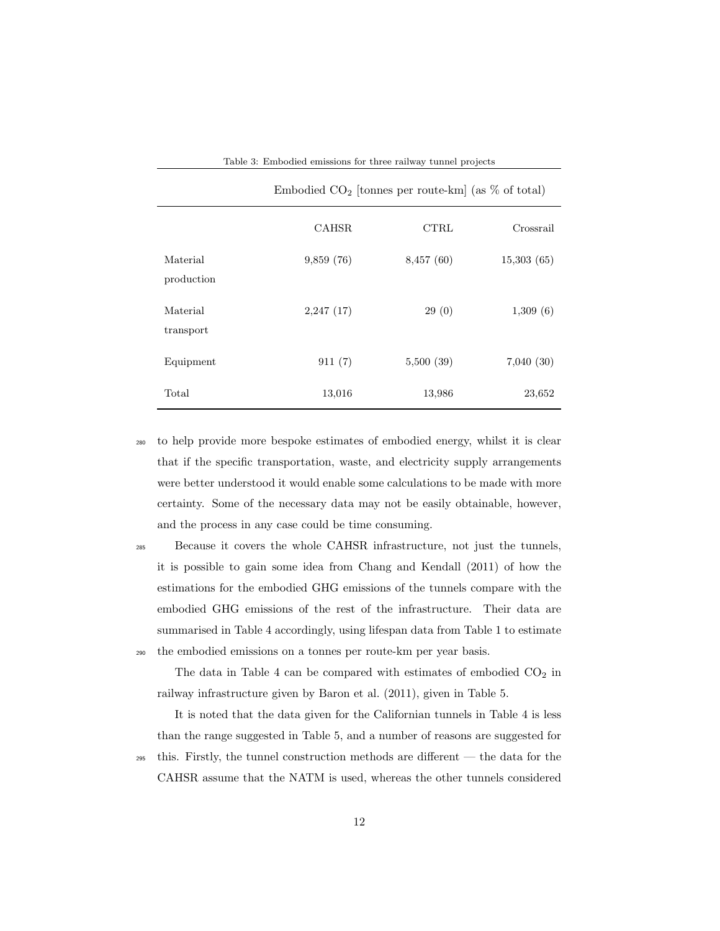<span id="page-11-0"></span>

|                        | Table 3: Embodied emissions for three railway tunnel projects |                                                        |            |
|------------------------|---------------------------------------------------------------|--------------------------------------------------------|------------|
|                        |                                                               | Embodied $CO2$ [tonnes per route-km] (as $%$ of total) |            |
|                        | <b>CAHSR</b>                                                  | <b>CTRL</b>                                            | Crossrail  |
| Material<br>production | 9,859(76)                                                     | 8,457(60)                                              | 15,303(65) |
| Material<br>transport  | 2,247(17)                                                     | 29(0)                                                  | 1,309(6)   |
| Equipment              | 911(7)                                                        | 5,500(39)                                              | 7,040(30)  |
| Total                  | 13,016                                                        | 13,986                                                 | 23,652     |

<sup>280</sup> to help provide more bespoke estimates of embodied energy, whilst it is clear that if the specific transportation, waste, and electricity supply arrangements were better understood it would enable some calculations to be made with more certainty. Some of the necessary data may not be easily obtainable, however, and the process in any case could be time consuming.

<sup>285</sup> Because it covers the whole [CAHSR](#page-0-0) infrastructure, not just the tunnels, it is possible to gain some idea from [Chang and Kendall](#page-30-5) [\(2011\)](#page-30-5) of how the estimations for the embodied [GHG](#page-0-0) emissions of the tunnels compare with the embodied [GHG](#page-0-0) emissions of the rest of the infrastructure. Their data are summarised in Table [4](#page-12-0) accordingly, using lifespan data from Table [1](#page-7-0) to estimate <sup>290</sup> the embodied emissions on a tonnes per route-km per year basis.

The data in Table [4](#page-12-0) can be compared with estimates of embodied  $CO<sub>2</sub>$  in railway infrastructure given by [Baron et al.](#page-30-3) [\(2011\)](#page-30-3), given in Table [5.](#page-18-0)

It is noted that the data given for the Californian tunnels in Table [4](#page-12-0) is less than the range suggested in Table [5,](#page-18-0) and a number of reasons are suggested for <sup>295</sup> this. Firstly, the tunnel construction methods are different — the data for the [CAHSR](#page-0-0) assume that the [NATM](#page-0-0) is used, whereas the other tunnels considered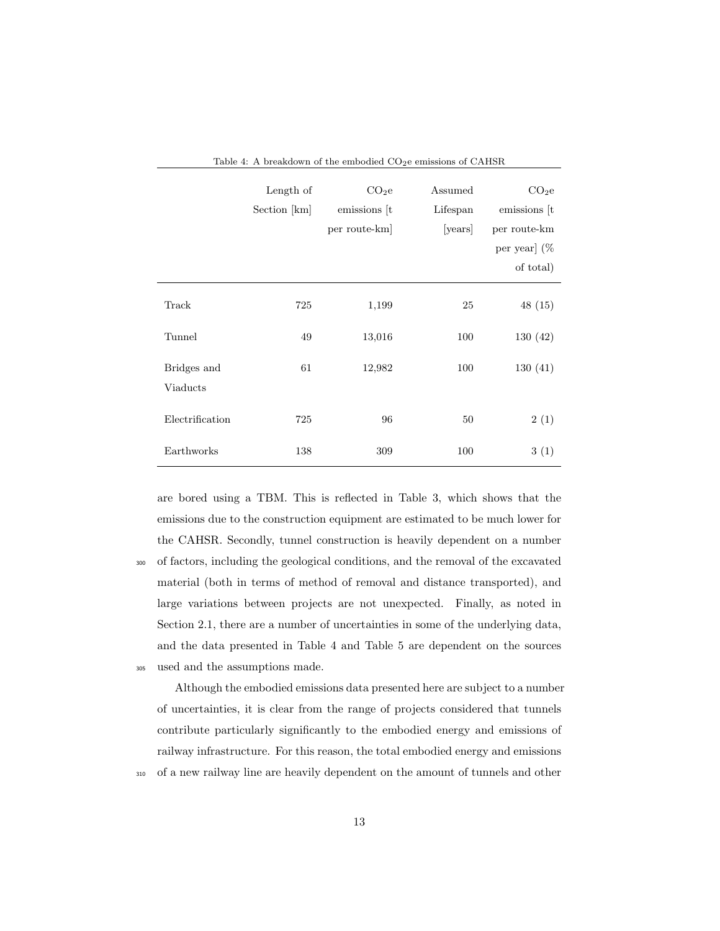<span id="page-12-0"></span>

| Table 4: A breakdown of the embodied $CO2e$ emissions of CAHSR |                           |                                    |                     |                                             |
|----------------------------------------------------------------|---------------------------|------------------------------------|---------------------|---------------------------------------------|
|                                                                | Length of<br>Section [km] | CO <sub>2</sub> e<br>emissions [t] | Assumed<br>Lifespan | CO <sub>2</sub> e<br>emissions [t]          |
|                                                                |                           | per route-km                       | [years]             | per route-km<br>per year $(\%$<br>of total) |
| Track                                                          | 725                       | 1,199                              | 25                  | 48(15)                                      |
| Tunnel                                                         | 49                        | 13,016                             | 100                 | 130 (42)                                    |
| Bridges and<br>Viaducts                                        | 61                        | 12,982                             | 100                 | 130(41)                                     |
| Electrification                                                | 725                       | 96                                 | $50\,$              | 2(1)                                        |
| Earthworks                                                     | 138                       | 309                                | 100                 | 3(1)                                        |

are bored using a [TBM.](#page-0-0) This is reflected in Table [3,](#page-11-0) which shows that the emissions due to the construction equipment are estimated to be much lower for the [CAHSR.](#page-0-0) Secondly, tunnel construction is heavily dependent on a number <sup>300</sup> of factors, including the geological conditions, and the removal of the excavated material (both in terms of method of removal and distance transported), and large variations between projects are not unexpected. Finally, as noted in Section [2.1,](#page-4-0) there are a number of uncertainties in some of the underlying data, and the data presented in Table [4](#page-12-0) and Table [5](#page-18-0) are dependent on the sources <sup>305</sup> used and the assumptions made.

Although the embodied emissions data presented here are subject to a number of uncertainties, it is clear from the range of projects considered that tunnels contribute particularly significantly to the embodied energy and emissions of railway infrastructure. For this reason, the total embodied energy and emissions <sup>310</sup> of a new railway line are heavily dependent on the amount of tunnels and other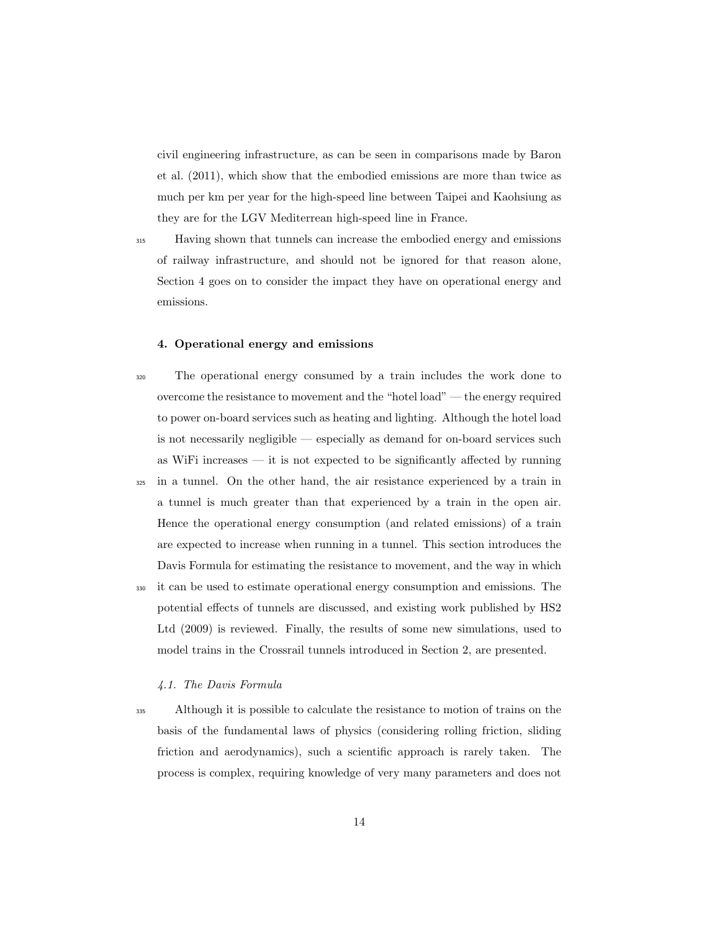[c](#page-30-3)ivil engineering infrastructure, as can be seen in comparisons made by [Baron](#page-30-3) [et al.](#page-30-3) [\(2011\)](#page-30-3), which show that the embodied emissions are more than twice as much per km per year for the high-speed line between Taipei and Kaohsiung as they are for the LGV Mediterrean high-speed line in France.

<sup>315</sup> Having shown that tunnels can increase the embodied energy and emissions of railway infrastructure, and should not be ignored for that reason alone, Section [4](#page-13-0) goes on to consider the impact they have on operational energy and emissions.

## <span id="page-13-0"></span>4. Operational energy and emissions

<sup>320</sup> The operational energy consumed by a train includes the work done to overcome the resistance to movement and the "hotel load" — the energy required to power on-board services such as heating and lighting. Although the hotel load is not necessarily negligible — especially as demand for on-board services such as WiFi increases  $-$  it is not expected to be significantly affected by running <sup>325</sup> in a tunnel. On the other hand, the air resistance experienced by a train in a tunnel is much greater than that experienced by a train in the open air. Hence the operational energy consumption (and related emissions) of a train are expected to increase when running in a tunnel. This section introduces the Davis Formula for estimating the resistance to movement, and the way in which

<sup>330</sup> it can be used to estimate operational energy consumption and emissions. The [p](#page-32-5)otential effects of tunnels are discussed, and existing work published by [HS2](#page-32-5) [Ltd](#page-32-5) [\(2009\)](#page-32-5) is reviewed. Finally, the results of some new simulations, used to model trains in the Crossrail tunnels introduced in Section [2,](#page-2-0) are presented.

### 4.1. The Davis Formula

<sup>335</sup> Although it is possible to calculate the resistance to motion of trains on the basis of the fundamental laws of physics (considering rolling friction, sliding friction and aerodynamics), such a scientific approach is rarely taken. The process is complex, requiring knowledge of very many parameters and does not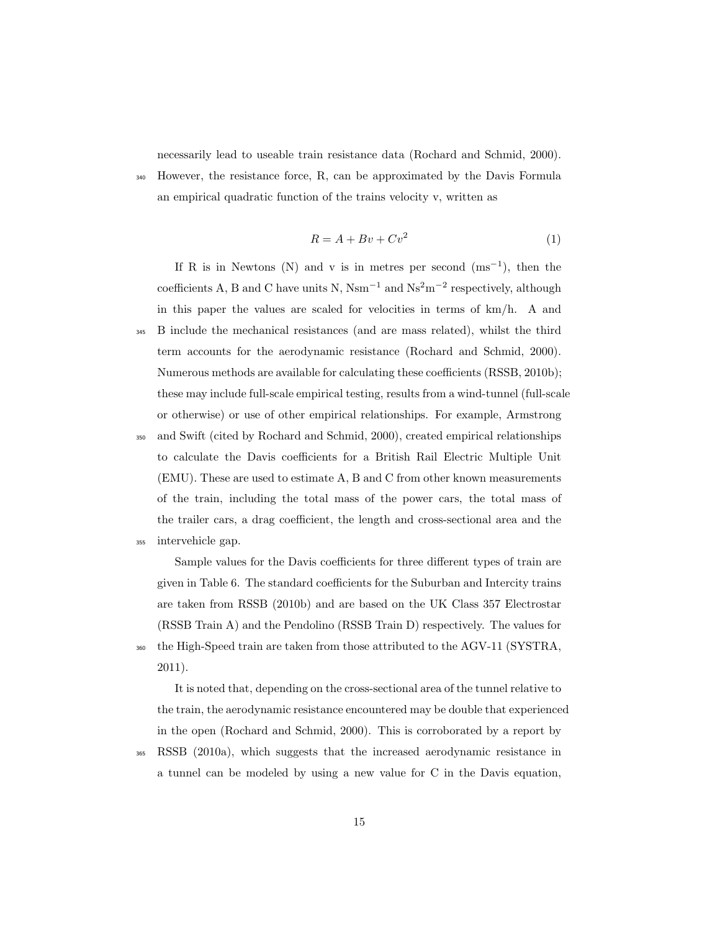necessarily lead to useable train resistance data [\(Rochard and Schmid, 2000\)](#page-33-4).

<span id="page-14-0"></span><sup>340</sup> However, the resistance force, R, can be approximated by the Davis Formula an empirical quadratic function of the trains velocity v, written as

$$
R = A + Bv + Cv^2 \tag{1}
$$

If R is in Newtons (N) and v is in metres per second  $(ms^{-1})$ , then the coefficients A, B and C have units N,  $Nsm^{-1}$  and  $Ns^2m^{-2}$  respectively, although in this paper the values are scaled for velocities in terms of km/h. A and <sup>345</sup> B include the mechanical resistances (and are mass related), whilst the third term accounts for the aerodynamic resistance [\(Rochard and Schmid, 2000\)](#page-33-4). Numerous methods are available for calculating these coefficients [\(RSSB, 2010b\)](#page-33-5); these may include full-scale empirical testing, results from a wind-tunnel (full-scale or otherwise) or use of other empirical relationships. For example, Armstrong <sup>350</sup> and Swift (cited by [Rochard and Schmid, 2000\)](#page-33-4), created empirical relationships [t](#page-0-0)o calculate the Davis coefficients for a British Rail [Electric Multiple Unit](#page-0-0) [\(EMU\).](#page-0-0) These are used to estimate A, B and C from other known measurements of the train, including the total mass of the power cars, the total mass of the trailer cars, a drag coefficient, the length and cross-sectional area and the <sup>355</sup> intervehicle gap.

Sample values for the Davis coefficients for three different types of train are given in Table [6.](#page-19-0) The standard coefficients for the Suburban and Intercity trains are taken from [RSSB](#page-33-5) [\(2010b\)](#page-33-5) and are based on the UK Class 357 Electrostar (RSSB Train A) and the [Pendolino](#page-0-0) (RSSB Train D) respectively. The values for <sup>360</sup> the High-Speed train are taken from those attributed to the AGV-11 [\(SYSTRA,](#page-33-6) [2011\)](#page-33-6).

It is noted that, depending on the cross-sectional area of the tunnel relative to the train, the aerodynamic resistance encountered may be double that experienced in the open [\(Rochard and Schmid, 2000\)](#page-33-4). This is corroborated by a report by

<sup>365</sup> [RSSB](#page-33-7) [\(2010a\)](#page-33-7), which suggests that the increased aerodynamic resistance in a tunnel can be modeled by using a new value for C in the Davis equation,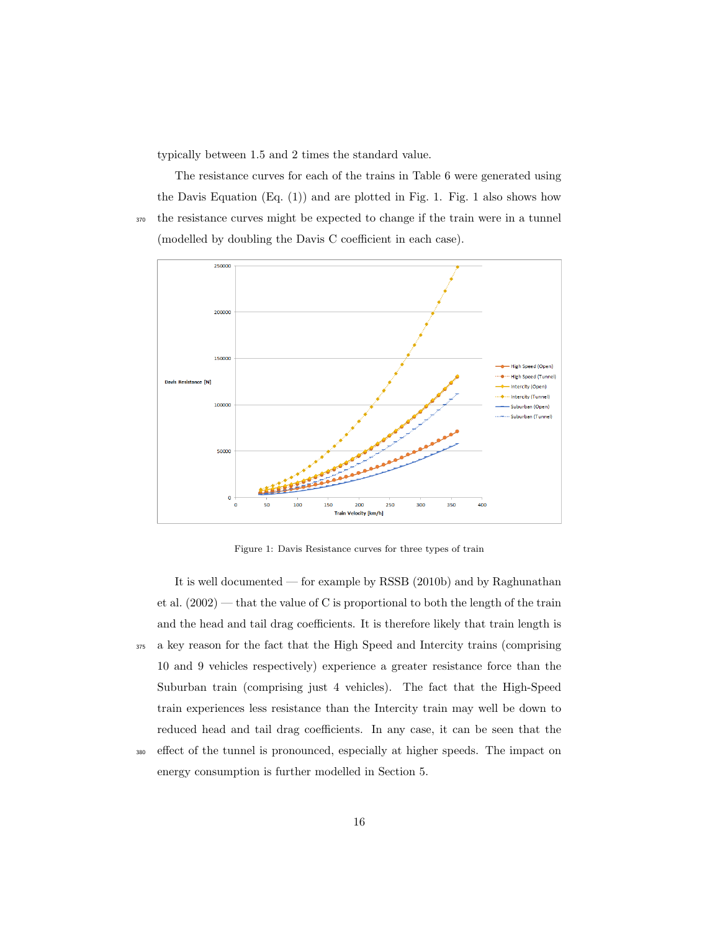typically between 1.5 and 2 times the standard value.

The resistance curves for each of the trains in Table [6](#page-19-0) were generated using the Davis Equation  $(Eq. (1))$  $(Eq. (1))$  $(Eq. (1))$  and are plotted in Fig. [1.](#page-15-0) Fig. [1](#page-15-0) also shows how <sup>370</sup> the resistance curves might be expected to change if the train were in a tunnel (modelled by doubling the Davis C coefficient in each case).



<span id="page-15-0"></span>Figure 1: Davis Resistance curves for three types of train

It is well documented — for example by [RSSB](#page-33-5) [\(2010b\)](#page-33-5) and by [Raghunathan](#page-32-6) [et al.](#page-32-6)  $(2002)$  — that the value of C is proportional to both the length of the train and the head and tail drag coefficients. It is therefore likely that train length is <sup>375</sup> a key reason for the fact that the High Speed and Intercity trains (comprising 10 and 9 vehicles respectively) experience a greater resistance force than the Suburban train (comprising just 4 vehicles). The fact that the High-Speed train experiences less resistance than the Intercity train may well be down to reduced head and tail drag coefficients. In any case, it can be seen that the <sup>380</sup> effect of the tunnel is pronounced, especially at higher speeds. The impact on energy consumption is further modelled in Section [5.](#page-17-0)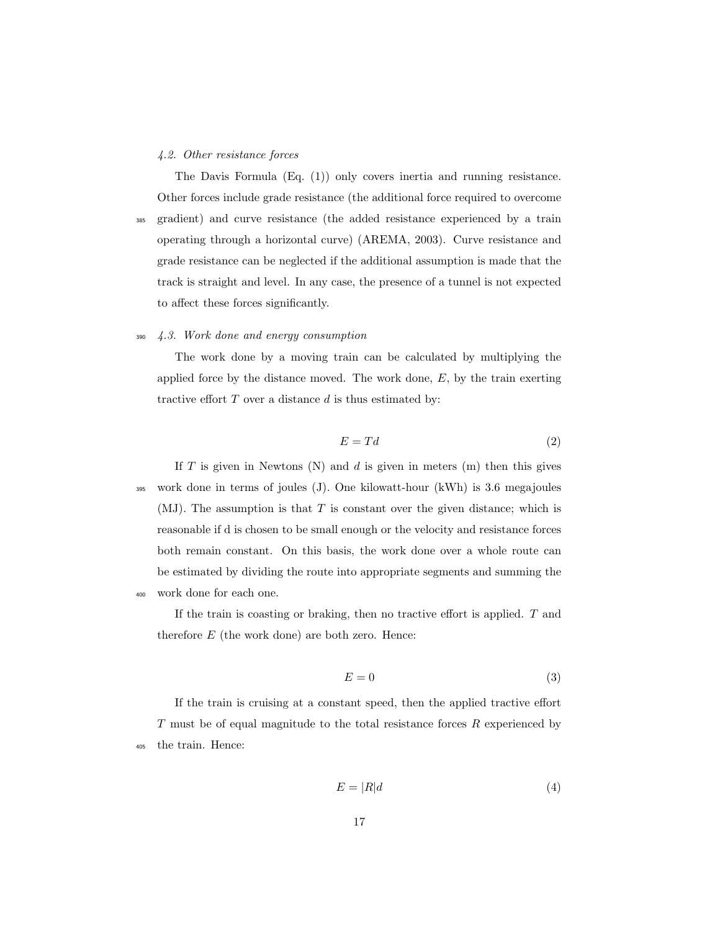#### 4.2. Other resistance forces

The Davis Formula (Eq. [\(1\)](#page-14-0)) only covers inertia and running resistance. Other forces include grade resistance (the additional force required to overcome <sup>385</sup> gradient) and curve resistance (the added resistance experienced by a train operating through a horizontal curve) [\(AREMA, 2003\)](#page-30-6). Curve resistance and grade resistance can be neglected if the additional assumption is made that the track is straight and level. In any case, the presence of a tunnel is not expected to affect these forces significantly.

### <span id="page-16-0"></span><sup>390</sup> 4.3. Work done and energy consumption

The work done by a moving train can be calculated by multiplying the applied force by the distance moved. The work done,  $E$ , by the train exerting tractive effort  $T$  over a distance  $d$  is thus estimated by:

$$
E = Td \tag{2}
$$

If  $T$  is given in Newtons (N) and  $d$  is given in meters (m) then this gives <sup>395</sup> work done in terms of joules (J). One [kilowatt-hour \(kWh\)](#page-0-0) is 3.6 megajoules  $(MJ)$ . The assumption is that T is constant over the given distance; which is reasonable if d is chosen to be small enough or the velocity and resistance forces both remain constant. On this basis, the work done over a whole route can be estimated by dividing the route into appropriate segments and summing the <sup>400</sup> work done for each one.

If the train is coasting or braking, then no tractive effort is applied. T and therefore  $E$  (the work done) are both zero. Hence:

$$
E = 0 \tag{3}
$$

If the train is cruising at a constant speed, then the applied tractive effort  $T$  must be of equal magnitude to the total resistance forces  $R$  experienced by <sup>405</sup> the train. Hence:

$$
E = |R|d \tag{4}
$$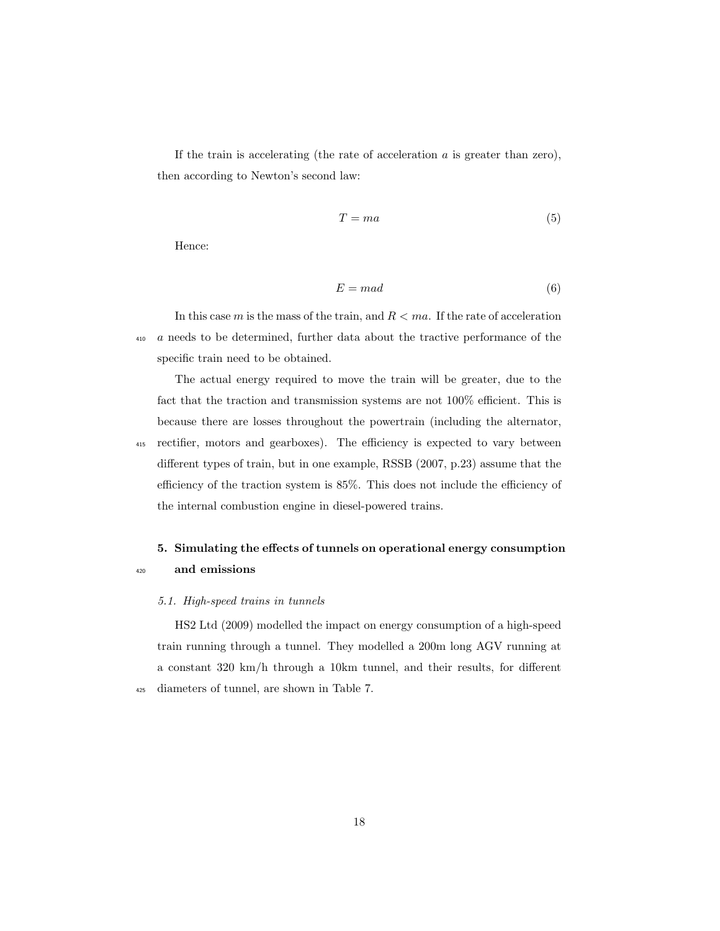If the train is accelerating (the rate of acceleration  $a$  is greater than zero), then according to Newton's second law:

$$
T = ma \tag{5}
$$

Hence:

$$
E = mad \tag{6}
$$

In this case m is the mass of the train, and  $R < ma$ . If the rate of acceleration <sup>410</sup> a needs to be determined, further data about the tractive performance of the specific train need to be obtained.

The actual energy required to move the train will be greater, due to the fact that the traction and transmission systems are not 100% efficient. This is because there are losses throughout the powertrain (including the alternator, <sup>415</sup> rectifier, motors and gearboxes). The efficiency is expected to vary between different types of train, but in one example, [RSSB](#page-33-3) [\(2007,](#page-33-3) p.23) assume that the efficiency of the traction system is 85%. This does not include the efficiency of the internal combustion engine in diesel-powered trains.

# <span id="page-17-0"></span>5. Simulating the effects of tunnels on operational energy consumption <sup>420</sup> and emissions

#### <span id="page-17-1"></span>5.1. High-speed trains in tunnels

[HS2 Ltd](#page-32-5) [\(2009\)](#page-32-5) modelled the impact on energy consumption of a high-speed train running through a tunnel. They modelled a 200m long AGV running at a constant 320 km/h through a 10km tunnel, and their results, for different <sup>425</sup> diameters of tunnel, are shown in Table [7.](#page-21-0)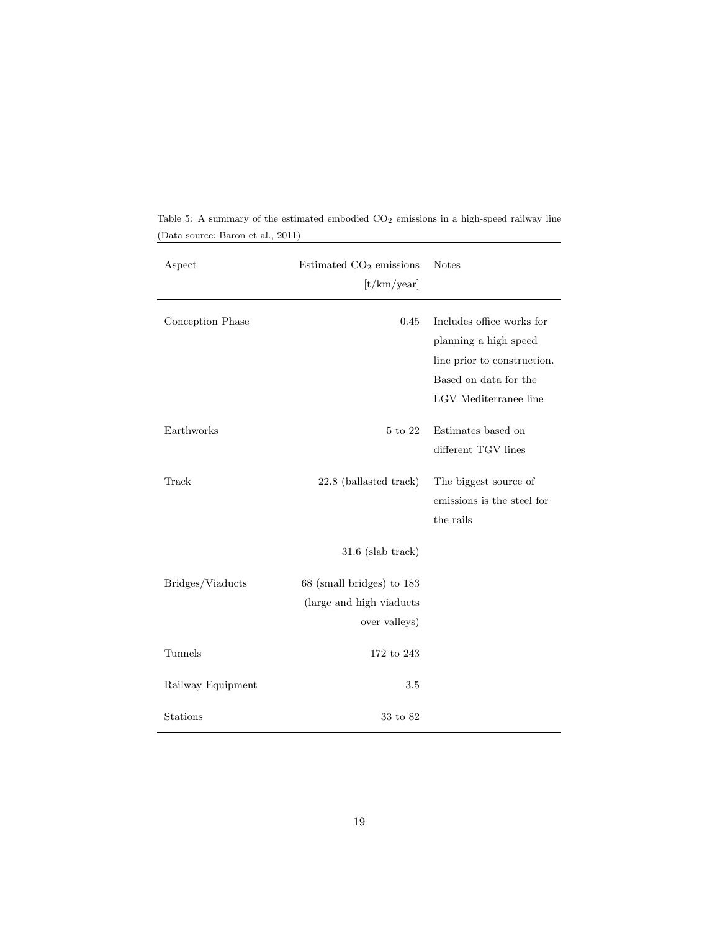| Aspect            | Estimated $CO2$ emissions<br>[t/km/year]                                | <b>Notes</b>                                                                                                                        |
|-------------------|-------------------------------------------------------------------------|-------------------------------------------------------------------------------------------------------------------------------------|
| Conception Phase  | 0.45                                                                    | Includes office works for<br>planning a high speed<br>line prior to construction.<br>Based on data for the<br>LGV Mediterranee line |
| Earthworks        | $5$ to $22\,$                                                           | Estimates based on<br>different TGV lines                                                                                           |
| Track             | 22.8 (ballasted track)                                                  | The biggest source of<br>emissions is the steel for<br>the rails                                                                    |
|                   | $31.6$ (slab track)                                                     |                                                                                                                                     |
| Bridges/Viaducts  | 68 (small bridges) to 183<br>(large and high viaducts)<br>over valleys) |                                                                                                                                     |
| Tunnels           | 172 to 243                                                              |                                                                                                                                     |
| Railway Equipment | 3.5                                                                     |                                                                                                                                     |
| Stations          | $33$ to $82\,$                                                          |                                                                                                                                     |

<span id="page-18-0"></span>Table 5: A summary of the estimated embodied  $\mathrm{CO}_2$  emissions in a high-speed railway line (Data source: [Baron et al., 2011\)](#page-30-3)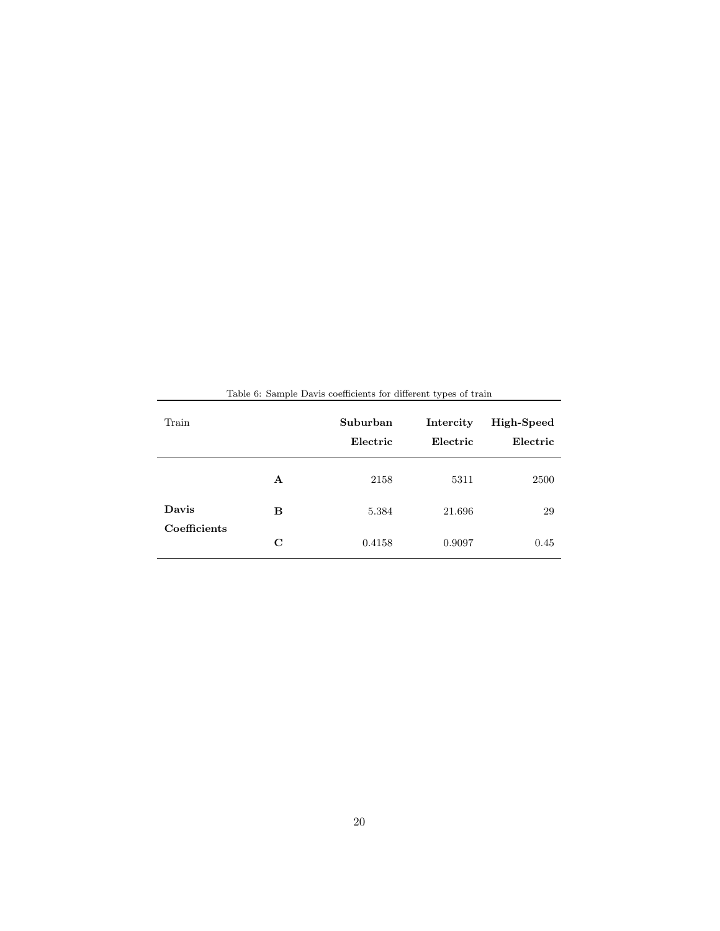| Train        |             | Lable 0. Dample Davis Coemcients for different types of train<br>Suburban<br>Electric | Intercity<br>Electric | High-Speed<br>Electric |
|--------------|-------------|---------------------------------------------------------------------------------------|-----------------------|------------------------|
|              | А           | 2158                                                                                  | 5311                  | 2500                   |
| Davis        | в           | 5.384                                                                                 | 21.696                | 29                     |
| Coefficients | $\mathbf C$ | 0.4158                                                                                | 0.9097                | 0.45                   |

<span id="page-19-0"></span>Table 6: Sample Davis coefficients for different types of train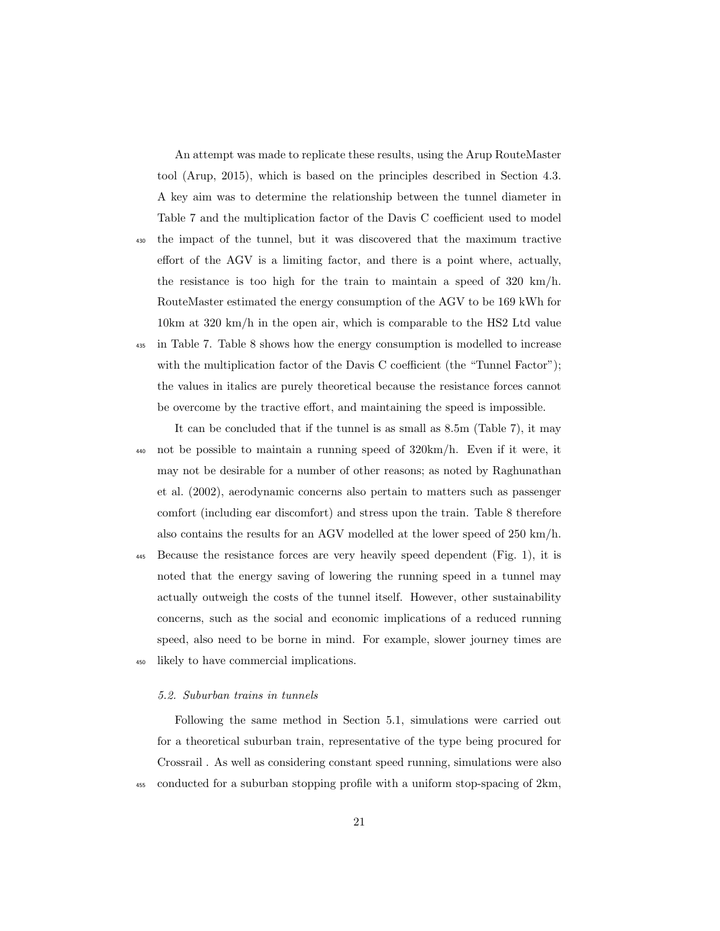An attempt was made to replicate these results, using the Arup RouteMaster tool [\(Arup, 2015\)](#page-30-7), which is based on the principles described in Section [4.3.](#page-16-0) A key aim was to determine the relationship between the tunnel diameter in Table [7](#page-21-0) and the multiplication factor of the Davis C coefficient used to model

<sup>430</sup> the impact of the tunnel, but it was discovered that the maximum tractive effort of the AGV is a limiting factor, and there is a point where, actually, the resistance is too high for the train to maintain a speed of 320 km/h. RouteMaster estimated the energy consumption of the AGV to be 169 kWh for 10km at 320 km/h in the open air, which is comparable to the [HS2 Ltd](#page-32-5) value <sup>435</sup> in Table [7.](#page-21-0) Table [8](#page-22-0) shows how the energy consumption is modelled to increase with the multiplication factor of the Davis C coefficient (the "Tunnel Factor");

the values in italics are purely theoretical because the resistance forces cannot be overcome by the tractive effort, and maintaining the speed is impossible.

It can be concluded that if the tunnel is as small as 8.5m (Table [7\)](#page-21-0), it may <sup>440</sup> not be possible to maintain a running speed of 320km/h. Even if it were, it [m](#page-32-6)ay not be desirable for a number of other reasons; as noted by [Raghunathan](#page-32-6) [et al.](#page-32-6) [\(2002\)](#page-32-6), aerodynamic concerns also pertain to matters such as passenger comfort (including ear discomfort) and stress upon the train. Table [8](#page-22-0) therefore also contains the results for an AGV modelled at the lower speed of 250 km/h.

<sup>445</sup> Because the resistance forces are very heavily speed dependent (Fig. [1\)](#page-15-0), it is noted that the energy saving of lowering the running speed in a tunnel may actually outweigh the costs of the tunnel itself. However, other sustainability concerns, such as the social and economic implications of a reduced running speed, also need to be borne in mind. For example, slower journey times are <sup>450</sup> likely to have commercial implications.

#### <span id="page-20-0"></span>5.2. Suburban trains in tunnels

Following the same method in Section [5.1,](#page-17-1) simulations were carried out for a theoretical suburban train, representative of the type being procured for Crossrail . As well as considering constant speed running, simulations were also <sup>455</sup> conducted for a suburban stopping profile with a uniform stop-spacing of 2km,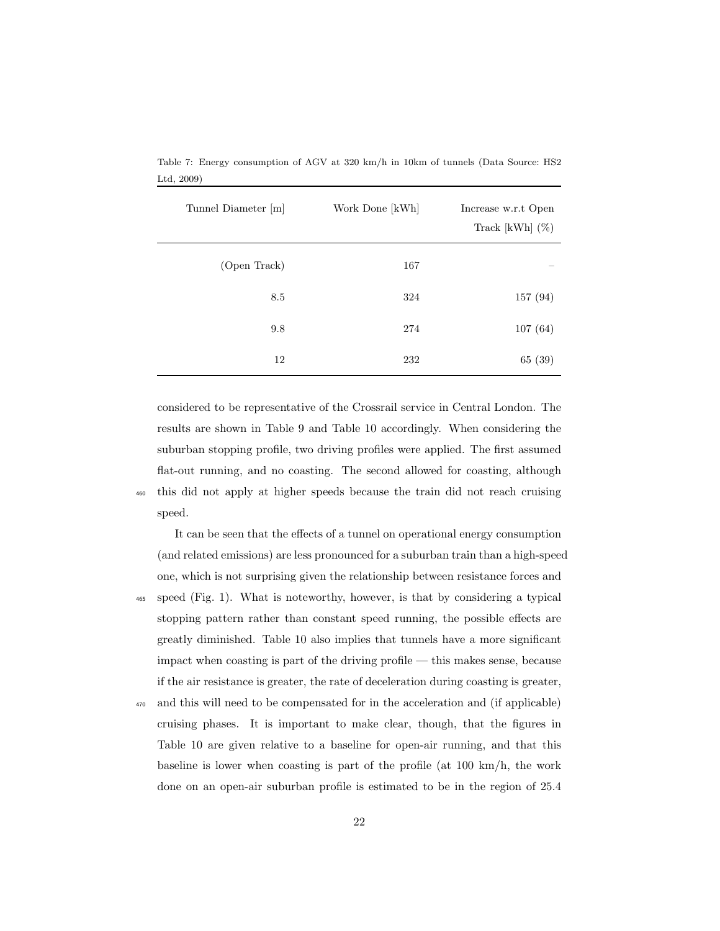| Tunnel Diameter [m] | Work Done [kWh] | Increase w.r.t Open<br>Track $[kWh]$ $(\%)$ |
|---------------------|-----------------|---------------------------------------------|
| (Open Track)        | 167             |                                             |
| 8.5                 | 324             | 157(94)                                     |
| 9.8                 | 274             | 107(64)                                     |
| 12                  | 232             | 65 (39)                                     |

<span id="page-21-0"></span>Table 7: Energy consumption of AGV at 320 km/h in 10km of tunnels (Data Source: [HS2](#page-32-5) [Ltd, 2009\)](#page-32-5)

considered to be representative of the Crossrail service in Central London. The results are shown in Table [9](#page-23-0) and Table [10](#page-24-0) accordingly. When considering the suburban stopping profile, two driving profiles were applied. The first assumed flat-out running, and no coasting. The second allowed for coasting, although <sup>460</sup> this did not apply at higher speeds because the train did not reach cruising speed.

It can be seen that the effects of a tunnel on operational energy consumption (and related emissions) are less pronounced for a suburban train than a high-speed one, which is not surprising given the relationship between resistance forces and

<sup>465</sup> speed (Fig. [1\)](#page-15-0). What is noteworthy, however, is that by considering a typical stopping pattern rather than constant speed running, the possible effects are greatly diminished. Table [10](#page-24-0) also implies that tunnels have a more significant impact when coasting is part of the driving profile — this makes sense, because if the air resistance is greater, the rate of deceleration during coasting is greater,

<sup>470</sup> and this will need to be compensated for in the acceleration and (if applicable) cruising phases. It is important to make clear, though, that the figures in Table [10](#page-24-0) are given relative to a baseline for open-air running, and that this baseline is lower when coasting is part of the profile (at  $100 \text{ km/h}$ , the work done on an open-air suburban profile is estimated to be in the region of 25.4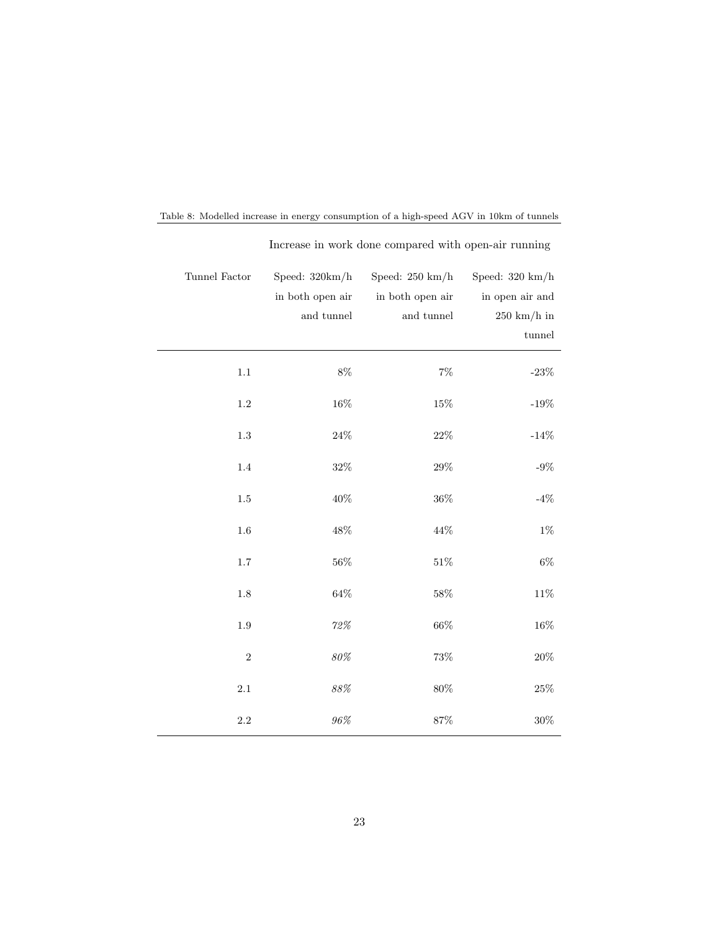<span id="page-22-0"></span>

|  | Table 8: Modelled increase in energy consumption of a high-speed AGV in 10km of tunnels |  |  |  |  |
|--|-----------------------------------------------------------------------------------------|--|--|--|--|
|--|-----------------------------------------------------------------------------------------|--|--|--|--|

| Tunnel Factor | Speed: $320 \text{km/h}$ | Speed: $250 \text{ km/h}$ | Speed: $320 \text{ km/h}$ |
|---------------|--------------------------|---------------------------|---------------------------|
|               | in both open air         | in both open air          | in open air and           |
|               | and tunnel               | and tunnel                | $250 \text{ km/h}$ in     |
|               |                          |                           | tunnel                    |
|               |                          |                           |                           |
| $1.1\,$       | $8\%$                    | $7\%$                     | $-23\%$                   |
| $1.2\,$       | $16\%$                   | $15\%$                    | $-19\%$                   |
| $1.3\,$       | $24\%$                   | $22\%$                    | $-14\%$                   |
| $1.4\,$       | $32\%$                   | $29\%$                    | $-9\%$                    |
| $1.5\,$       | $40\%$                   | $36\%$                    | $-4\%$                    |
| 1.6           | $48\%$                   | $44\%$                    | $1\%$                     |
| $1.7\,$       | $56\%$                   | $51\%$                    | $6\%$                     |
| $1.8\,$       | $64\%$                   | $58\%$                    | $11\%$                    |
| $1.9\,$       | $72\%$                   | $66\%$                    | $16\%$                    |
| $\,2$         | $80\%$                   | $73\%$                    | $20\%$                    |
| $2.1\,$       | $88\%$                   | $80\%$                    | $25\%$                    |
| $2.2\,$       | $96\%$                   | $87\%$                    | $30\%$                    |

# Increase in work done compared with open-air running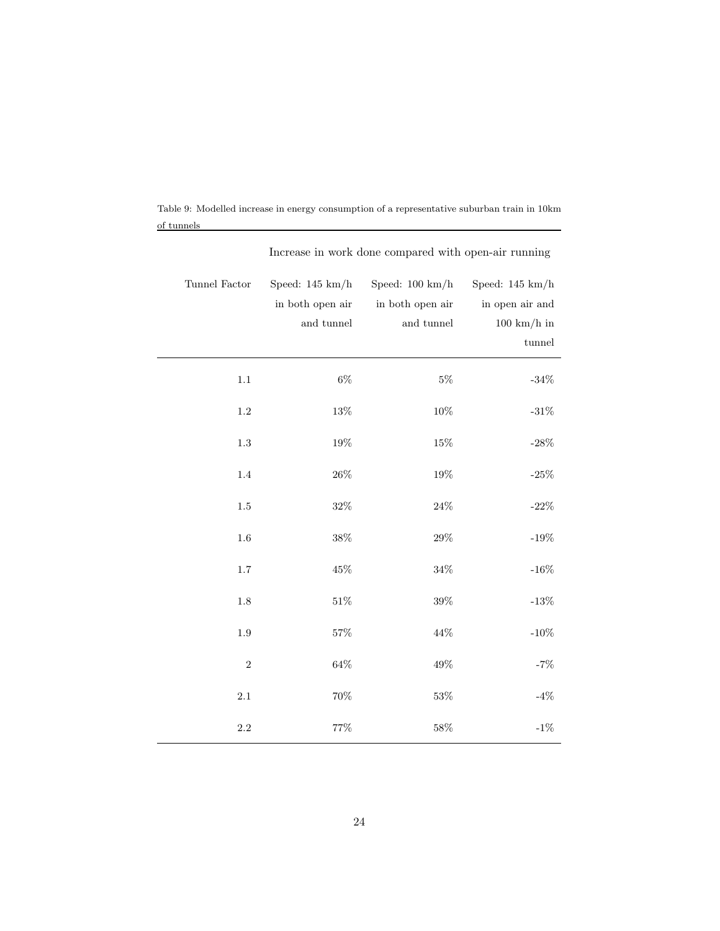<span id="page-23-0"></span>Table 9: Modelled increase in energy consumption of a representative suburban train in 10km of tunnels

| Tunnel Factor | Speed: $145 \text{ km/h}$ | Speed: $100 \text{ km/h}$ | Speed: $145 \text{ km/h}$ |
|---------------|---------------------------|---------------------------|---------------------------|
|               | in both open air          | in both open air          | in open air and           |
|               | and tunnel                | and tunnel                | $100 \text{ km/h}$ in     |
|               |                           |                           | $\mbox{tunnel}$           |
| $1.1\,$       | $6\%$                     | $5\%$                     | $-34\%$                   |
| 1.2           | $13\%$                    | $10\%$                    | $-31\%$                   |
| $1.3\,$       | $19\%$                    | $15\%$                    | $-28\%$                   |
| 1.4           | $26\%$                    | $19\%$                    | $-25\%$                   |
| $1.5\,$       | $32\%$                    | $24\%$                    | $-22\%$                   |
| $1.6\,$       | $38\%$                    | $29\%$                    | $-19\%$                   |
| $1.7\,$       | $45\%$                    | $34\%$                    | $-16\%$                   |
| $1.8\,$       | $51\%$                    | $39\%$                    | $-13\%$                   |
| $1.9\,$       | $57\%$                    | 44%                       | $-10\%$                   |
| $\sqrt{2}$    | $64\%$                    | $49\%$                    | $-7\%$                    |
| $2.1\,$       | $70\%$                    | $53\%$                    | $-4\%$                    |
| $2.2\,$       | $77\%$                    | $58\%$                    | $-1\%$                    |

Increase in work done compared with open-air running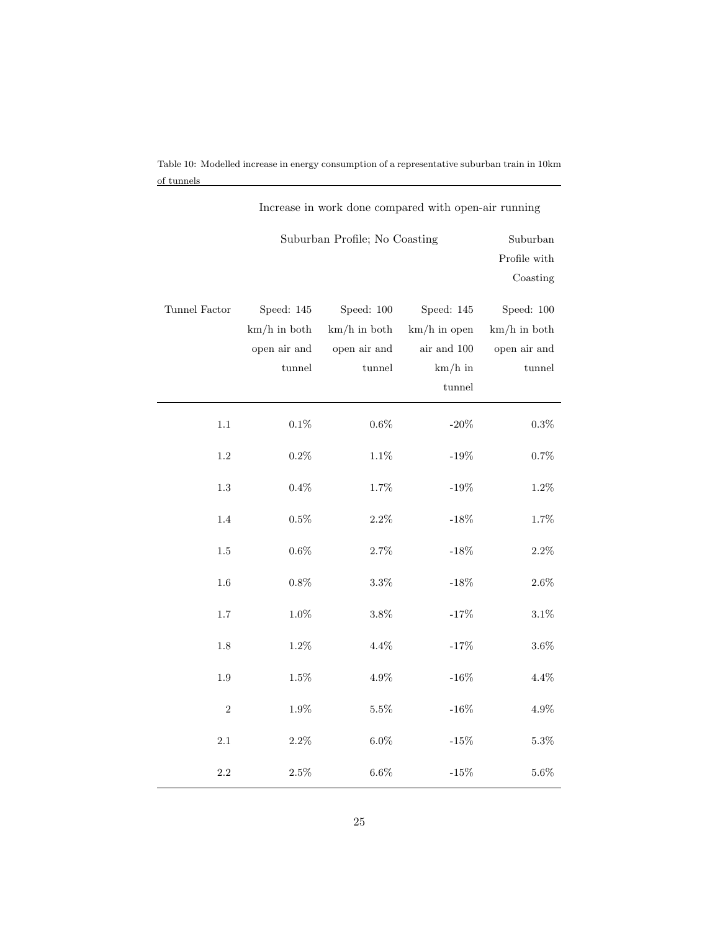<span id="page-24-0"></span>Table 10: Modelled increase in energy consumption of a representative suburban train in 10km of tunnels

Increase in work done compared with open-air running

| Suburban Profile; No Coasting |                                                        |                                                        | Suburban<br>Profile with<br>Coasting                               |                                                        |
|-------------------------------|--------------------------------------------------------|--------------------------------------------------------|--------------------------------------------------------------------|--------------------------------------------------------|
| Tunnel Factor                 | Speed: 145<br>$km/h$ in both<br>open air and<br>tunnel | Speed: 100<br>$km/h$ in both<br>open air and<br>tunnel | Speed: 145<br>$km/h$ in open<br>air and 100<br>$km/h$ in<br>tunnel | Speed: 100<br>$km/h$ in both<br>open air and<br>tunnel |
| 1.1                           | $0.1\%$                                                | $0.6\%$                                                | $-20\%$                                                            | $0.3\%$                                                |
| $1.2\,$                       | $0.2\%$                                                | $1.1\%$                                                | $-19\%$                                                            | $0.7\%$                                                |
| $1.3\,$                       | $0.4\%$                                                | $1.7\%$                                                | $-19\%$                                                            | $1.2\%$                                                |
| $1.4\,$                       | $0.5\%$                                                | $2.2\%$                                                | $-18\%$                                                            | $1.7\%$                                                |
| $1.5\,$                       | $0.6\%$                                                | $2.7\%$                                                | $-18\%$                                                            | $2.2\%$                                                |
| 1.6                           | $0.8\%$                                                | $3.3\%$                                                | $-18\%$                                                            | $2.6\%$                                                |
| 1.7                           | $1.0\%$                                                | $3.8\%$                                                | $-17\%$                                                            | $3.1\%$                                                |
| $1.8\,$                       | $1.2\%$                                                | $4.4\%$                                                | $-17\%$                                                            | $3.6\%$                                                |
| 1.9                           | $1.5\%$                                                | $4.9\%$                                                | $-16\%$                                                            | $4.4\%$                                                |
| $\overline{2}$                | $1.9\%$                                                | $5.5\%$                                                | $-16\%$                                                            | $4.9\%$                                                |
| 2.1                           | $2.2\%$                                                | $6.0\%$                                                | $-15\%$                                                            | $5.3\%$                                                |
| 2.2                           | $2.5\%$                                                | $6.6\%$                                                | $-15\%$                                                            | 5.6%                                                   |

25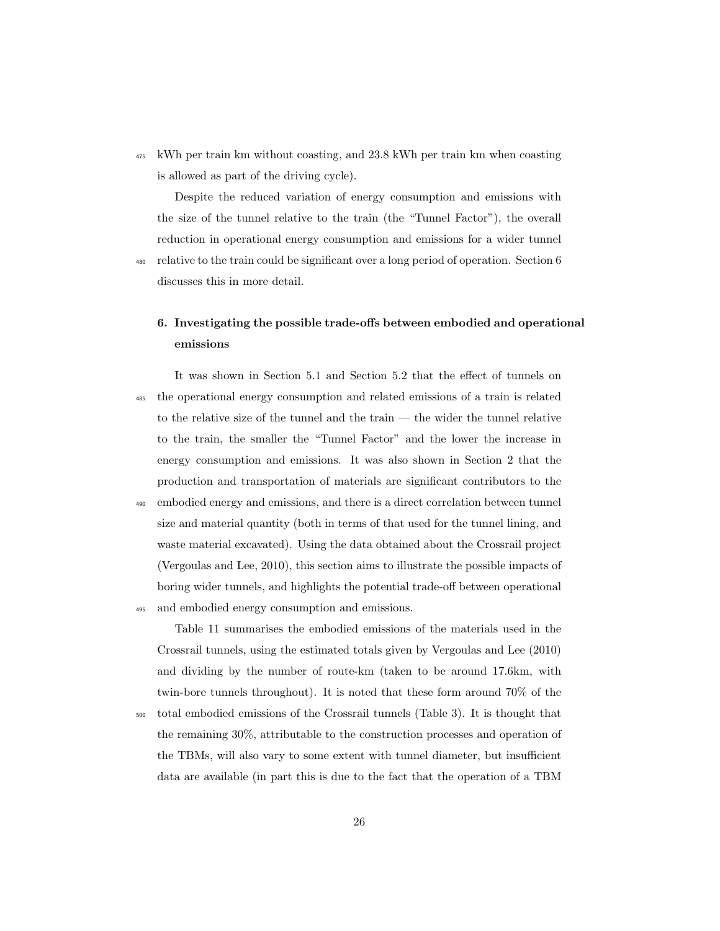<sup>475</sup> kWh per train km without coasting, and 23.8 kWh per train km when coasting is allowed as part of the driving cycle).

Despite the reduced variation of energy consumption and emissions with the size of the tunnel relative to the train (the "Tunnel Factor"), the overall reduction in operational energy consumption and emissions for a wider tunnel

<sup>480</sup> relative to the train could be significant over a long period of operation. Section [6](#page-25-0) discusses this in more detail.

# <span id="page-25-0"></span>6. Investigating the possible trade-offs between embodied and operational emissions

It was shown in Section [5.1](#page-17-1) and Section [5.2](#page-20-0) that the effect of tunnels on <sup>485</sup> the operational energy consumption and related emissions of a train is related to the relative size of the tunnel and the train — the wider the tunnel relative to the train, the smaller the "Tunnel Factor" and the lower the increase in energy consumption and emissions. It was also shown in Section [2](#page-2-0) that the production and transportation of materials are significant contributors to the <sup>490</sup> embodied energy and emissions, and there is a direct correlation between tunnel size and material quantity (both in terms of that used for the tunnel lining, and waste material excavated). Using the data obtained about the Crossrail project [\(Vergoulas and Lee, 2010\)](#page-34-1), this section aims to illustrate the possible impacts of boring wider tunnels, and highlights the potential trade-off between operational <sup>495</sup> and embodied energy consumption and emissions.

Table [11](#page-26-0) summarises the embodied emissions of the materials used in the Crossrail tunnels, using the estimated totals given by [Vergoulas and Lee](#page-34-1) [\(2010\)](#page-34-1) and dividing by the number of route-km (taken to be around 17.6km, with twin-bore tunnels throughout). It is noted that these form around 70% of the <sup>500</sup> total embodied emissions of the Crossrail tunnels (Table [3\)](#page-11-0). It is thought that the remaining 30%, attributable to the construction processes and operation of the [TBMs,](#page-0-0) will also vary to some extent with tunnel diameter, but insufficient data are available (in part this is due to the fact that the operation of a [TBM](#page-0-0)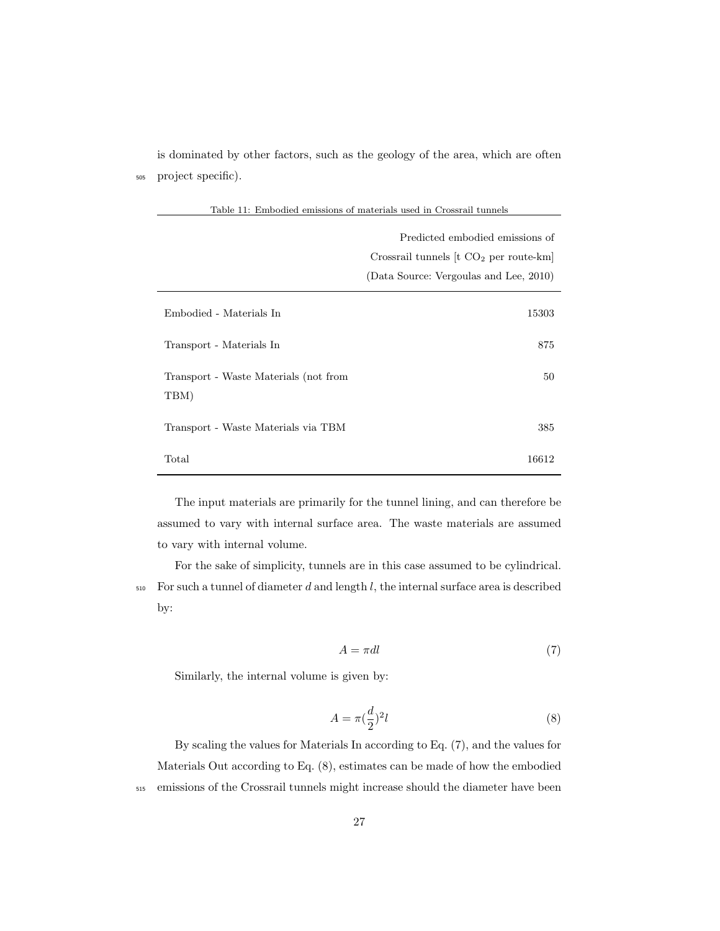is dominated by other factors, such as the geology of the area, which are often <sup>505</sup> project specific).

<span id="page-26-0"></span>

|                                               | Table 11: Embodied emissions of materials used in Crossrail tunnels                                                   |
|-----------------------------------------------|-----------------------------------------------------------------------------------------------------------------------|
|                                               | Predicted embodied emissions of<br>Crossrail tunnels $[t CO2 per route-km]$<br>(Data Source: Vergoulas and Lee, 2010) |
| Embodied - Materials In                       | 15303                                                                                                                 |
| Transport - Materials In                      | 875                                                                                                                   |
| Transport - Waste Materials (not from<br>TBM) | 50                                                                                                                    |
| Transport - Waste Materials via TBM           | 385                                                                                                                   |
| Total                                         | 16612                                                                                                                 |

The input materials are primarily for the tunnel lining, and can therefore be assumed to vary with internal surface area. The waste materials are assumed to vary with internal volume.

<span id="page-26-1"></span>For the sake of simplicity, tunnels are in this case assumed to be cylindrical.  $510$  For such a tunnel of diameter d and length l, the internal surface area is described by:

$$
A = \pi dl \tag{7}
$$

<span id="page-26-2"></span>Similarly, the internal volume is given by:

$$
A = \pi \left(\frac{d}{2}\right)^2 l \tag{8}
$$

By scaling the values for Materials In according to Eq. [\(7\)](#page-26-1), and the values for Materials Out according to Eq. [\(8\)](#page-26-2), estimates can be made of how the embodied <sup>515</sup> emissions of the Crossrail tunnels might increase should the diameter have been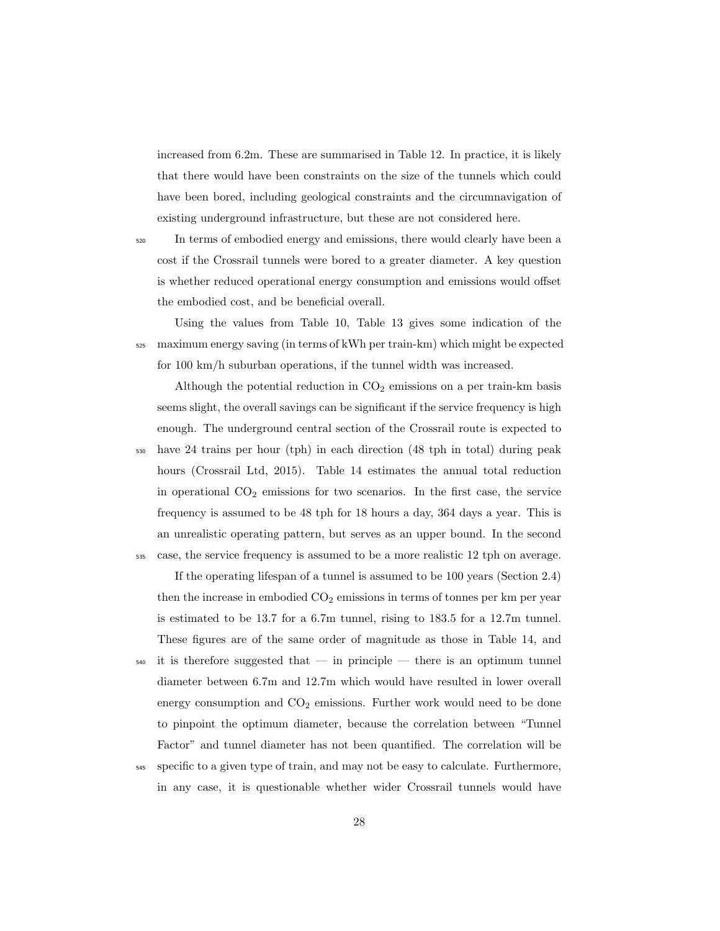increased from 6.2m. These are summarised in Table [12.](#page-35-0) In practice, it is likely that there would have been constraints on the size of the tunnels which could have been bored, including geological constraints and the circumnavigation of existing underground infrastructure, but these are not considered here.

<sup>520</sup> In terms of embodied energy and emissions, there would clearly have been a cost if the Crossrail tunnels were bored to a greater diameter. A key question is whether reduced operational energy consumption and emissions would offset the embodied cost, and be beneficial overall.

Using the values from Table [10,](#page-24-0) Table [13](#page-36-0) gives some indication of the <sup>525</sup> maximum energy saving (in terms of kWh per train-km) which might be expected for 100 km/h suburban operations, if the tunnel width was increased.

Although the potential reduction in  $CO<sub>2</sub>$  emissions on a per train-km basis seems slight, the overall savings can be significant if the service frequency is high enough. The underground central section of the Crossrail route is expected to <sup>530</sup> have 24 [trains per hour \(tph\)](#page-0-0) in each direction (48 [tph](#page-0-0) in total) during peak hours [\(Crossrail Ltd, 2015\)](#page-31-6). Table [14](#page-36-1) estimates the annual total reduction in operational  $CO<sub>2</sub>$  emissions for two scenarios. In the first case, the service frequency is assumed to be 48 [tph](#page-0-0) for 18 hours a day, 364 days a year. This is an unrealistic operating pattern, but serves as an upper bound. In the second <sup>535</sup> case, the service frequency is assumed to be a more realistic 12 [tph](#page-0-0) on average.

If the operating lifespan of a tunnel is assumed to be 100 years (Section [2.4\)](#page-6-0) then the increase in embodied  $CO<sub>2</sub>$  emissions in terms of tonnes per km per year is estimated to be 13.7 for a 6.7m tunnel, rising to 183.5 for a 12.7m tunnel. These figures are of the same order of magnitude as those in Table [14,](#page-36-1) and <sup>540</sup> it is therefore suggested that — in principle — there is an optimum tunnel diameter between 6.7m and 12.7m which would have resulted in lower overall energy consumption and  $CO<sub>2</sub>$  emissions. Further work would need to be done to pinpoint the optimum diameter, because the correlation between "Tunnel Factor" and tunnel diameter has not been quantified. The correlation will be <sup>545</sup> specific to a given type of train, and may not be easy to calculate. Furthermore,

in any case, it is questionable whether wider Crossrail tunnels would have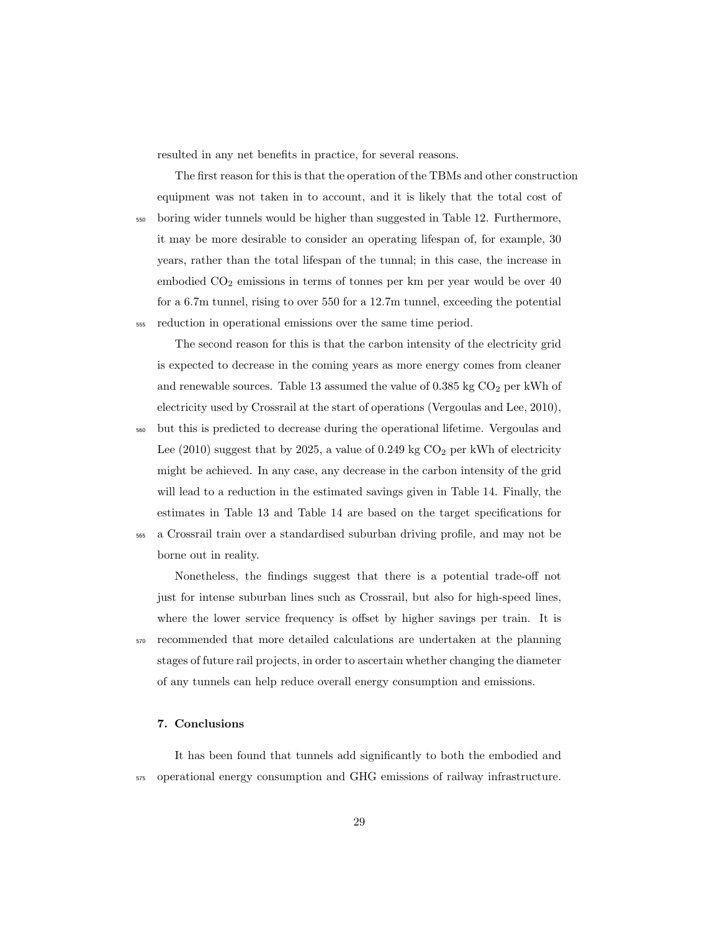resulted in any net benefits in practice, for several reasons.

The first reason for this is that the operation of the [TBMs](#page-0-0) and other construction equipment was not taken in to account, and it is likely that the total cost of <sup>550</sup> boring wider tunnels would be higher than suggested in Table [12.](#page-35-0) Furthermore, it may be more desirable to consider an operating lifespan of, for example, 30 years, rather than the total lifespan of the tunnal; in this case, the increase in embodied  $CO<sub>2</sub>$  emissions in terms of tonnes per km per year would be over 40 for a 6.7m tunnel, rising to over 550 for a 12.7m tunnel, exceeding the potential <sup>555</sup> reduction in operational emissions over the same time period.

The second reason for this is that the carbon intensity of the electricity grid is expected to decrease in the coming years as more energy comes from cleaner and renewable sources. Table [13](#page-36-0) assumed the value of  $0.385 \text{ kg CO}_2$  $0.385 \text{ kg CO}_2$  $0.385 \text{ kg CO}_2$  per kWh of electricity used by Crossrail at the start of operations [\(Vergoulas and Lee, 2010\)](#page-34-1), <sup>560</sup> [b](#page-34-1)ut this is predicted to decrease during the operational lifetime. [Vergoulas and](#page-34-1) [Lee](#page-34-1)  $(2010)$  suggest that by 2025, a value of 0.249 kg  $CO<sub>2</sub>$  per kWh of electricity

might be achieved. In any case, any decrease in the carbon intensity of the grid will lead to a reduction in the estimated savings given in Table [14.](#page-36-1) Finally, the estimates in Table [13](#page-36-0) and Table [14](#page-36-1) are based on the target specifications for <sup>565</sup> a Crossrail train over a standardised suburban driving profile, and may not be borne out in reality.

Nonetheless, the findings suggest that there is a potential trade-off not just for intense suburban lines such as Crossrail, but also for high-speed lines, where the lower service frequency is offset by higher savings per train. It is <sup>570</sup> recommended that more detailed calculations are undertaken at the planning stages of future rail projects, in order to ascertain whether changing the diameter of any tunnels can help reduce overall energy consumption and emissions.

## 7. Conclusions

It has been found that tunnels add significantly to both the embodied and <sup>575</sup> operational energy consumption and [GHG](#page-0-0) emissions of railway infrastructure.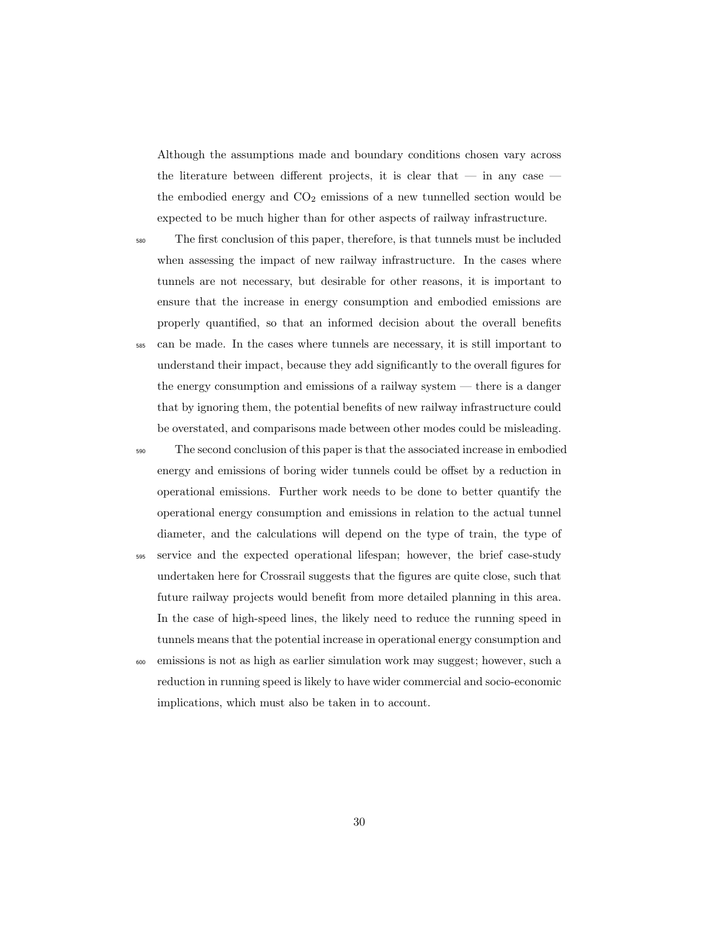Although the assumptions made and boundary conditions chosen vary across the literature between different projects, it is clear that  $-$  in any case  $$ the embodied energy and  $CO<sub>2</sub>$  emissions of a new tunnelled section would be expected to be much higher than for other aspects of railway infrastructure.

<sup>580</sup> The first conclusion of this paper, therefore, is that tunnels must be included when assessing the impact of new railway infrastructure. In the cases where tunnels are not necessary, but desirable for other reasons, it is important to ensure that the increase in energy consumption and embodied emissions are properly quantified, so that an informed decision about the overall benefits <sup>585</sup> can be made. In the cases where tunnels are necessary, it is still important to understand their impact, because they add significantly to the overall figures for the energy consumption and emissions of a railway system — there is a danger that by ignoring them, the potential benefits of new railway infrastructure could be overstated, and comparisons made between other modes could be misleading.

<sup>590</sup> The second conclusion of this paper is that the associated increase in embodied energy and emissions of boring wider tunnels could be offset by a reduction in operational emissions. Further work needs to be done to better quantify the operational energy consumption and emissions in relation to the actual tunnel diameter, and the calculations will depend on the type of train, the type of <sup>595</sup> service and the expected operational lifespan; however, the brief case-study undertaken here for Crossrail suggests that the figures are quite close, such that future railway projects would benefit from more detailed planning in this area. In the case of high-speed lines, the likely need to reduce the running speed in tunnels means that the potential increase in operational energy consumption and

<sup>600</sup> emissions is not as high as earlier simulation work may suggest; however, such a reduction in running speed is likely to have wider commercial and socio-economic implications, which must also be taken in to account.

30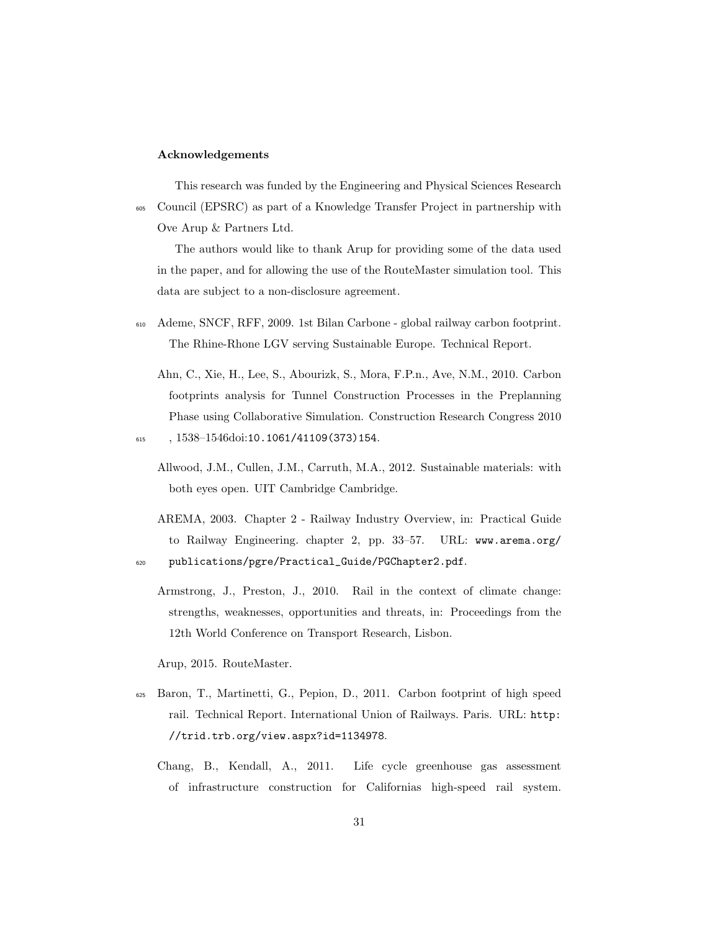#### Acknowledgements

This research was funded by the Engineering and Physical Sciences Research <sup>605</sup> Council (EPSRC) as part of a Knowledge Transfer Project in partnership with Ove Arup & Partners Ltd.

The authors would like to thank Arup for providing some of the data used in the paper, and for allowing the use of the RouteMaster simulation tool. This data are subject to a non-disclosure agreement.

<span id="page-30-4"></span><sup>610</sup> Ademe, SNCF, RFF, 2009. 1st Bilan Carbone - global railway carbon footprint. The Rhine-Rhone LGV serving Sustainable Europe. Technical Report.

<span id="page-30-0"></span>Ahn, C., Xie, H., Lee, S., Abourizk, S., Mora, F.P.n., Ave, N.M., 2010. Carbon footprints analysis for Tunnel Construction Processes in the Preplanning Phase using Collaborative Simulation. Construction Research Congress 2010  $615$  , 1538-1546doi:[10.1061/41109\(373\)154](http://dx.doi.org/10.1061/41109(373)154).

- <span id="page-30-2"></span>Allwood, J.M., Cullen, J.M., Carruth, M.A., 2012. Sustainable materials: with both eyes open. UIT Cambridge Cambridge.
- <span id="page-30-6"></span><span id="page-30-1"></span>AREMA, 2003. Chapter 2 - Railway Industry Overview, in: Practical Guide to Railway Engineering. chapter 2, pp. 33–57. URL: [www.arema.org/](www.arema.org/publications/pgre/Practical_Guide/PGChapter2.pdf) <sup>620</sup> [publications/pgre/Practical\\_Guide/PGChapter2.pdf](www.arema.org/publications/pgre/Practical_Guide/PGChapter2.pdf).
	- Armstrong, J., Preston, J., 2010. Rail in the context of climate change: strengths, weaknesses, opportunities and threats, in: Proceedings from the 12th World Conference on Transport Research, Lisbon.

<span id="page-30-7"></span>Arup, 2015. RouteMaster.

- <span id="page-30-5"></span><span id="page-30-3"></span><sup>625</sup> Baron, T., Martinetti, G., Pepion, D., 2011. Carbon footprint of high speed rail. Technical Report. International Union of Railways. Paris. URL: [http:](http://trid.trb.org/view.aspx?id=1134978) [//trid.trb.org/view.aspx?id=1134978](http://trid.trb.org/view.aspx?id=1134978).
	- Chang, B., Kendall, A., 2011. Life cycle greenhouse gas assessment of infrastructure construction for Californias high-speed rail system.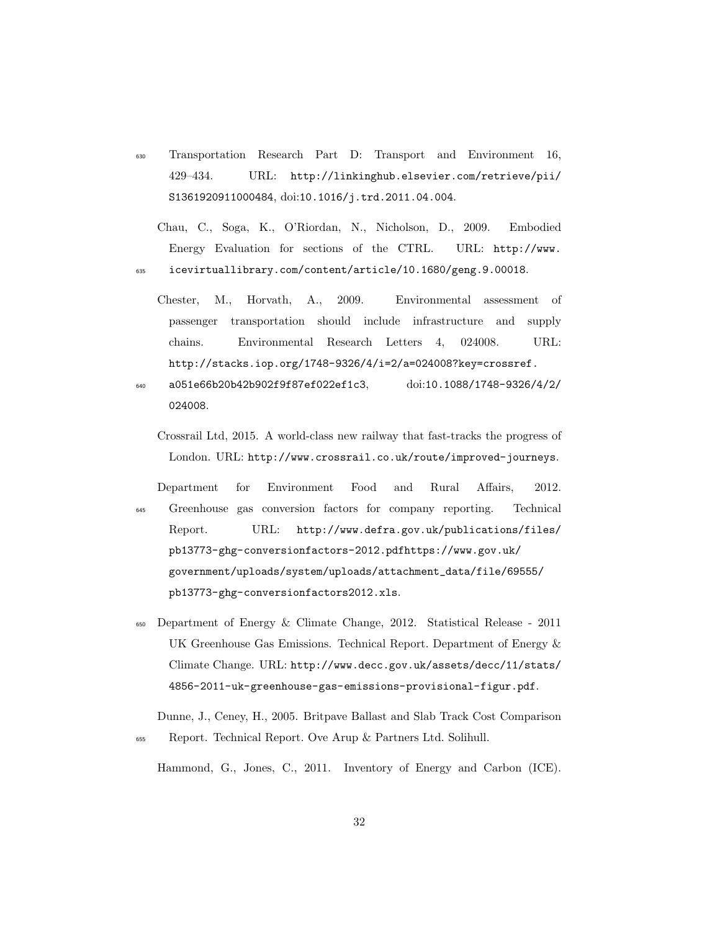<sup>630</sup> Transportation Research Part D: Transport and Environment 16, 429–434. URL: [http://linkinghub.elsevier.com/retrieve/pii/](http://linkinghub.elsevier.com/retrieve/pii/S1361920911000484) [S1361920911000484](http://linkinghub.elsevier.com/retrieve/pii/S1361920911000484), doi:[10.1016/j.trd.2011.04.004](http://dx.doi.org/10.1016/j.trd.2011.04.004).

<span id="page-31-4"></span>Chau, C., Soga, K., O'Riordan, N., Nicholson, D., 2009. Embodied Energy Evaluation for sections of the CTRL. URL: [http://www.](http://www.icevirtuallibrary.com/content/article/10.1680/geng.9.00018) <sup>635</sup> [icevirtuallibrary.com/content/article/10.1680/geng.9.00018](http://www.icevirtuallibrary.com/content/article/10.1680/geng.9.00018).

<span id="page-31-2"></span>Chester, M., Horvath, A., 2009. Environmental assessment of passenger transportation should include infrastructure and supply chains. Environmental Research Letters 4, 024008. URL: [http://stacks.iop.org/1748-9326/4/i=2/a=024008?key=crossref.](http://stacks.iop.org/1748-9326/4/i=2/a=024008?key=crossref.a051e66b20b42b902f9f87ef022ef1c3)

<sup>640</sup> [a051e66b20b42b902f9f87ef022ef1c3](http://stacks.iop.org/1748-9326/4/i=2/a=024008?key=crossref.a051e66b20b42b902f9f87ef022ef1c3), doi:[10.1088/1748-9326/4/2/](http://dx.doi.org/10.1088/1748-9326/4/2/024008) [024008](http://dx.doi.org/10.1088/1748-9326/4/2/024008).

<span id="page-31-6"></span>Crossrail Ltd, 2015. A world-class new railway that fast-tracks the progress of London. URL: <http://www.crossrail.co.uk/route/improved-journeys>.

- <span id="page-31-5"></span>Department for Environment Food and Rural Affairs, 2012. <sup>645</sup> Greenhouse gas conversion factors for company reporting. Technical Report. URL: [http://www.defra.gov.uk/publications/files/](http://www.defra.gov.uk/publications/files/pb13773-ghg-conversionfactors-2012.pdf https://www.gov.uk/government/uploads/system/uploads/attachment_data/file/69555/pb13773-ghg-conversionfactors2012.xls) [pb13773-ghg-conversionfactors-2012.pdfhttps://www.gov.uk/](http://www.defra.gov.uk/publications/files/pb13773-ghg-conversionfactors-2012.pdf https://www.gov.uk/government/uploads/system/uploads/attachment_data/file/69555/pb13773-ghg-conversionfactors2012.xls) [government/uploads/system/uploads/attachment\\_data/file/69555/](http://www.defra.gov.uk/publications/files/pb13773-ghg-conversionfactors-2012.pdf https://www.gov.uk/government/uploads/system/uploads/attachment_data/file/69555/pb13773-ghg-conversionfactors2012.xls) [pb13773-ghg-conversionfactors2012.xls](http://www.defra.gov.uk/publications/files/pb13773-ghg-conversionfactors-2012.pdf https://www.gov.uk/government/uploads/system/uploads/attachment_data/file/69555/pb13773-ghg-conversionfactors2012.xls).
- <span id="page-31-3"></span><sup>650</sup> Department of Energy & Climate Change, 2012. Statistical Release - 2011 UK Greenhouse Gas Emissions. Technical Report. Department of Energy & Climate Change. URL: [http://www.decc.gov.uk/assets/decc/11/stats/](http://www.decc.gov.uk/assets/decc/11/stats/4856-2011-uk-greenhouse-gas-emissions-provisional-figur.pdf) [4856-2011-uk-greenhouse-gas-emissions-provisional-figur.pdf](http://www.decc.gov.uk/assets/decc/11/stats/4856-2011-uk-greenhouse-gas-emissions-provisional-figur.pdf).

<span id="page-31-1"></span>Dunne, J., Ceney, H., 2005. Britpave Ballast and Slab Track Cost Comparison <sup>655</sup> Report. Technical Report. Ove Arup & Partners Ltd. Solihull.

<span id="page-31-0"></span>Hammond, G., Jones, C., 2011. Inventory of Energy and Carbon (ICE).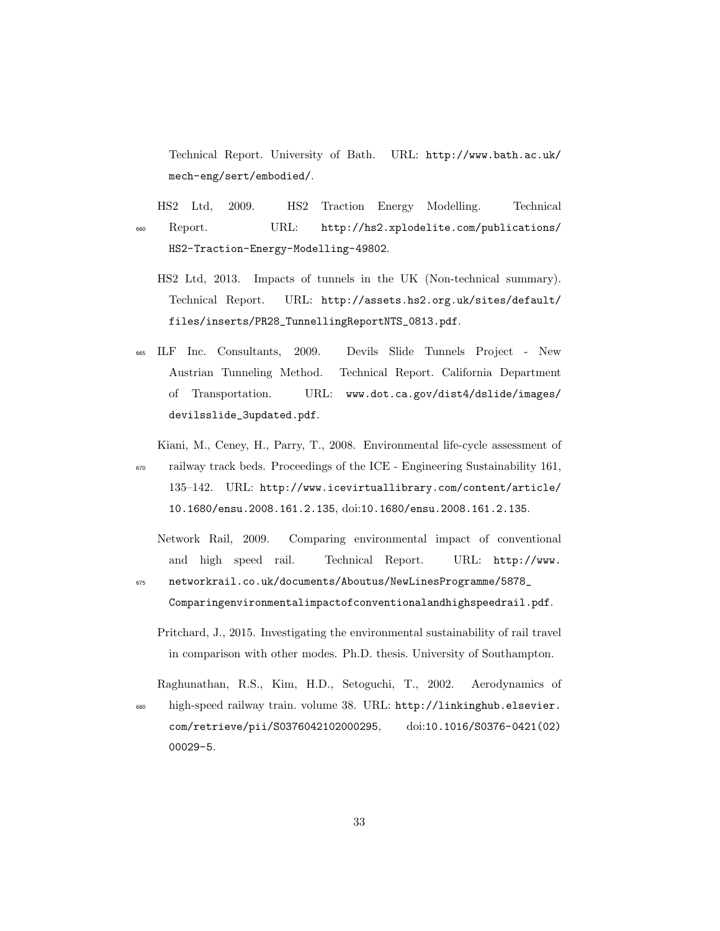Technical Report. University of Bath. URL: [http://www.bath.ac.uk/](http://www.bath.ac.uk/mech-eng/sert/embodied/) [mech-eng/sert/embodied/](http://www.bath.ac.uk/mech-eng/sert/embodied/).

<span id="page-32-5"></span>HS2 Ltd, 2009. HS2 Traction Energy Modelling. Technical <sup>660</sup> Report. URL: [http://hs2.xplodelite.com/publications/](http://hs2.xplodelite.com/publications/HS2-Traction-Energy-Modelling-49802) [HS2-Traction-Energy-Modelling-49802](http://hs2.xplodelite.com/publications/HS2-Traction-Energy-Modelling-49802).

- <span id="page-32-1"></span>HS2 Ltd, 2013. Impacts of tunnels in the UK (Non-technical summary). Technical Report. URL: [http://assets.hs2.org.uk/sites/default/](http://assets.hs2.org.uk/sites/default/files/inserts/PR28_Tunnelling Report NTS_0813.pdf) [files/inserts/PR28\\_TunnellingReportNTS\\_0813.pdf](http://assets.hs2.org.uk/sites/default/files/inserts/PR28_Tunnelling Report NTS_0813.pdf).
- <span id="page-32-4"></span><sup>665</sup> ILF Inc. Consultants, 2009. Devils Slide Tunnels Project - New Austrian Tunneling Method. Technical Report. California Department of Transportation. URL: [www.dot.ca.gov/dist4/dslide/images/](www.dot.ca.gov/dist4/dslide/images/devils slide_3updated.pdf) [devilsslide\\_3updated.pdf](www.dot.ca.gov/dist4/dslide/images/devils slide_3updated.pdf).

<span id="page-32-3"></span>Kiani, M., Ceney, H., Parry, T., 2008. Environmental life-cycle assessment of

- <sup>670</sup> railway track beds. Proceedings of the ICE Engineering Sustainability 161, 135–142. URL: [http://www.icevirtuallibrary.com/content/article/](http://www.icevirtuallibrary.com/content/article/10.1680/ensu.2008.161.2.135) [10.1680/ensu.2008.161.2.135](http://www.icevirtuallibrary.com/content/article/10.1680/ensu.2008.161.2.135), doi:[10.1680/ensu.2008.161.2.135](http://dx.doi.org/10.1680/ensu.2008.161.2.135).
	- Network Rail, 2009. Comparing environmental impact of conventional and high speed rail. Technical Report. URL: [http://www.](http://www.networkrail.co.uk/documents/About us/New Lines Programme/5878_Comparing environmental impact of conventional and high speed rail.pdf)
- <span id="page-32-2"></span><span id="page-32-0"></span><sup>675</sup> [networkrail.co.uk/documents/Aboutus/NewLinesProgramme/5878\\_](http://www.networkrail.co.uk/documents/About us/New Lines Programme/5878_Comparing environmental impact of conventional and high speed rail.pdf) [Comparingenvironmentalimpactofconventionalandhighspeedrail.pdf](http://www.networkrail.co.uk/documents/About us/New Lines Programme/5878_Comparing environmental impact of conventional and high speed rail.pdf).
	- Pritchard, J., 2015. Investigating the environmental sustainability of rail travel in comparison with other modes. Ph.D. thesis. University of Southampton.
- <span id="page-32-6"></span>Raghunathan, R.S., Kim, H.D., Setoguchi, T., 2002. Aerodynamics of <sup>680</sup> high-speed railway train. volume 38. URL: [http://linkinghub.elsevier.](http://linkinghub.elsevier.com/retrieve/pii/S0376042102000295) [com/retrieve/pii/S0376042102000295](http://linkinghub.elsevier.com/retrieve/pii/S0376042102000295), doi:[10.1016/S0376-0421\(02\)](http://dx.doi.org/10.1016/S0376-0421(02)00029-5) [00029-5](http://dx.doi.org/10.1016/S0376-0421(02)00029-5).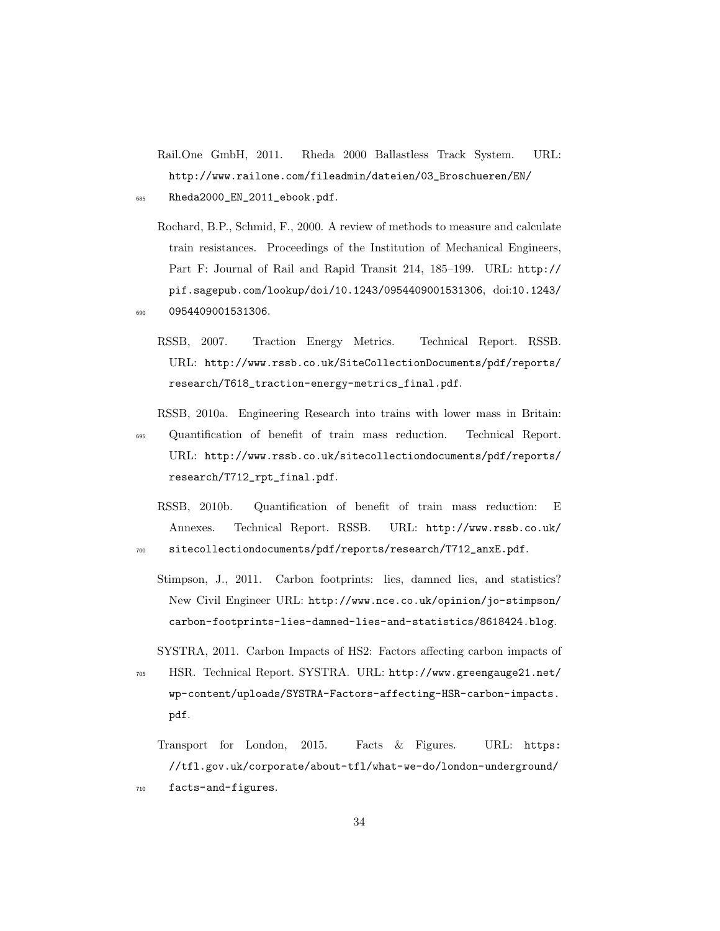<span id="page-33-2"></span>Rail.One GmbH, 2011. Rheda 2000 Ballastless Track System. URL: [http://www.railone.com/fileadmin/dateien/03\\_Broschueren/EN/](http://www.railone.com/fileadmin/dateien/03_Broschueren/EN/Rheda2000_EN_2011_ebook.pdf) [Rheda2000\\_EN\\_2011\\_ebook.pdf](http://www.railone.com/fileadmin/dateien/03_Broschueren/EN/Rheda2000_EN_2011_ebook.pdf).

<span id="page-33-4"></span>Rochard, B.P., Schmid, F., 2000. A review of methods to measure and calculate train resistances. Proceedings of the Institution of Mechanical Engineers, Part F: Journal of Rail and Rapid Transit 214, 185–199. URL: [http://](http://pif.sagepub.com/lookup/doi/10.1243/0954409001531306) [pif.sagepub.com/lookup/doi/10.1243/0954409001531306](http://pif.sagepub.com/lookup/doi/10.1243/0954409001531306), doi:[10.1243/](http://dx.doi.org/10.1243/0954409001531306) 690 [0954409001531306](http://dx.doi.org/10.1243/0954409001531306).

<span id="page-33-3"></span>RSSB, 2007. Traction Energy Metrics. Technical Report. RSSB. URL: [http://www.rssb.co.uk/SiteCollectionDocuments/pdf/reports/](http://www.rssb.co.uk/SiteCollectionDocuments/pdf/ reports/research/T618_traction-energy-metrics_final.pdf) [research/T618\\_traction-energy-metrics\\_final.pdf](http://www.rssb.co.uk/SiteCollectionDocuments/pdf/ reports/research/T618_traction-energy-metrics_final.pdf).

<span id="page-33-7"></span>RSSB, 2010a. Engineering Research into trains with lower mass in Britain:

<sup>695</sup> Quantification of benefit of train mass reduction. Technical Report. URL: [http://www.rssb.co.uk/sitecollectiondocuments/pdf/reports/](http://www.rssb.co.uk/sitecollectiondocuments/pdf/reports/research/T712_rpt_final.pdf) [research/T712\\_rpt\\_final.pdf](http://www.rssb.co.uk/sitecollectiondocuments/pdf/reports/research/T712_rpt_final.pdf).

- <span id="page-33-5"></span><span id="page-33-1"></span>RSSB, 2010b. Quantification of benefit of train mass reduction: E Annexes. Technical Report. RSSB. URL: [http://www.rssb.co.uk/](http://www.rssb.co.uk/sitecollectiondocuments/pdf/reports/research/T712_anxE.pdf) <sup>700</sup> [sitecollectiondocuments/pdf/reports/research/T712\\_anxE.pdf](http://www.rssb.co.uk/sitecollectiondocuments/pdf/reports/research/T712_anxE.pdf).
	- Stimpson, J., 2011. Carbon footprints: lies, damned lies, and statistics? New Civil Engineer URL: [http://www.nce.co.uk/opinion/jo-stimpson/](http://www.nce.co.uk/opinion/jo-stimpson/carbon-footprints-lies-damned-lies-and-statistics/8618424.blog) [carbon-footprints-lies-damned-lies-and-statistics/8618424.blog](http://www.nce.co.uk/opinion/jo-stimpson/carbon-footprints-lies-damned-lies-and-statistics/8618424.blog).

<span id="page-33-6"></span>SYSTRA, 2011. Carbon Impacts of HS2: Factors affecting carbon impacts of <sup>705</sup> HSR. Technical Report. SYSTRA. URL: [http://www.greengauge21.net/](http://www.greengauge21.net/wp-content/uploads/ SYSTRA-Factors-affecting-HSR-carbon-impacts.pdf) [wp-content/uploads/SYSTRA-Factors-affecting-HSR-carbon-impacts.](http://www.greengauge21.net/wp-content/uploads/ SYSTRA-Factors-affecting-HSR-carbon-impacts.pdf) [pdf](http://www.greengauge21.net/wp-content/uploads/ SYSTRA-Factors-affecting-HSR-carbon-impacts.pdf).

<span id="page-33-0"></span>[T](https://tfl.gov.uk/corporate/about-tfl/what-we-do/london-underground/facts-and-figures)ransport for London, 2015. Facts & Figures. URL: [https:](https://tfl.gov.uk/corporate/about-tfl/what-we-do/london-underground/facts-and-figures) [//tfl.gov.uk/corporate/about-tfl/what-we-do/london-underground/](https://tfl.gov.uk/corporate/about-tfl/what-we-do/london-underground/facts-and-figures) <sup>710</sup> [facts-and-figures](https://tfl.gov.uk/corporate/about-tfl/what-we-do/london-underground/facts-and-figures).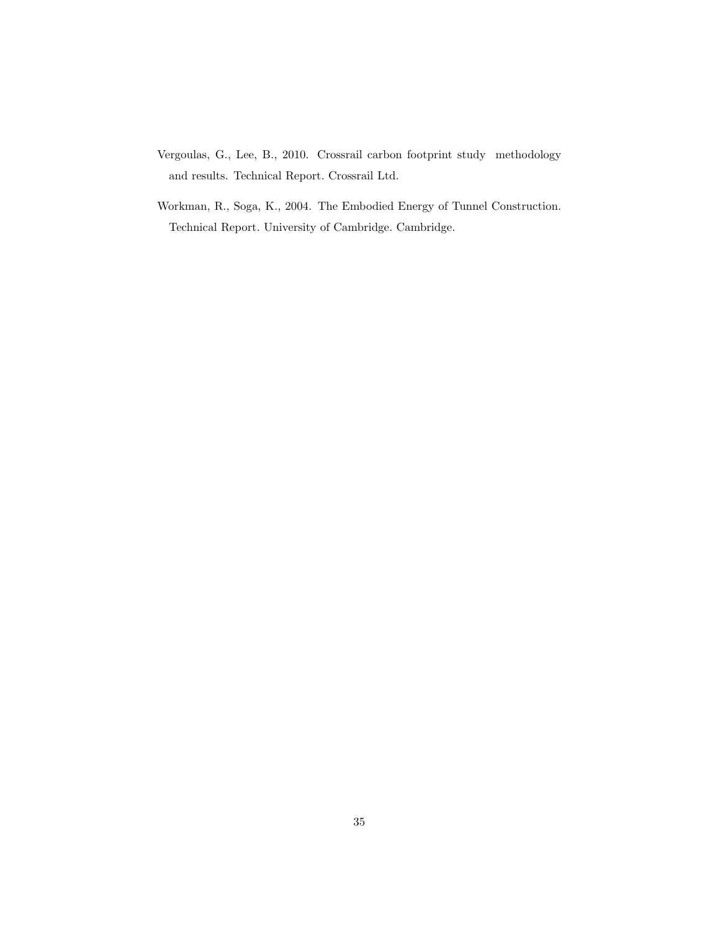- <span id="page-34-1"></span>Vergoulas, G., Lee, B., 2010. Crossrail carbon footprint study methodology and results. Technical Report. Crossrail Ltd.
- <span id="page-34-0"></span>Workman, R., Soga, K., 2004. The Embodied Energy of Tunnel Construction. Technical Report. University of Cambridge. Cambridge.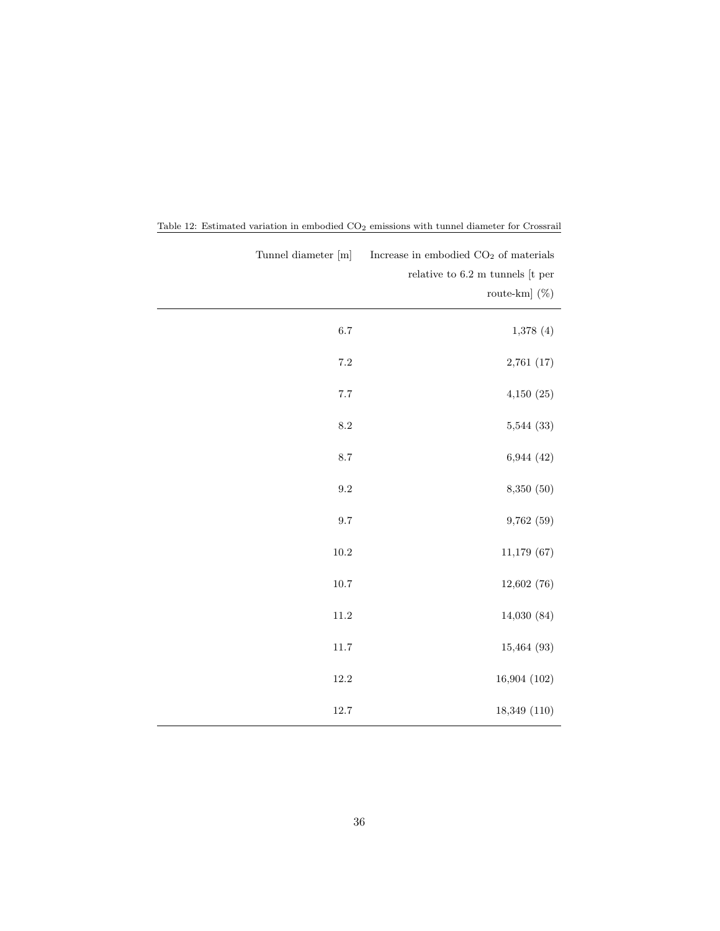| Tunnel diameter [m]<br>Increase in embodied $CO2$ of materials |  |
|----------------------------------------------------------------|--|
| relative to 6.2 m tunnels [t per                               |  |
| route-km $(\%)$                                                |  |
|                                                                |  |
| 6.7<br>1,378(4)                                                |  |
| $7.2\,$<br>2,761(17)                                           |  |
| 7.7<br>4,150(25)                                               |  |
| $\!\!\!\!\!8.2$<br>$5,544$ $(33)$                              |  |
| 8.7<br>6,944(42)                                               |  |
| $9.2\,$<br>8,350 (50)                                          |  |
| $9.7\,$<br>9,762(59)                                           |  |
| $10.2\,$<br>11,179(67)                                         |  |
| 12,602(76)<br>$10.7\,$                                         |  |
| 14,030(84)<br>11.2                                             |  |
| $11.7\,$<br>15,464 (93)                                        |  |
| 12.2<br>16,904 (102)                                           |  |
| $12.7\,$<br>18,349 (110)                                       |  |

<span id="page-35-0"></span>Table 12: Estimated variation in embodied  $CO<sub>2</sub>$  emissions with tunnel diameter for Crossrail